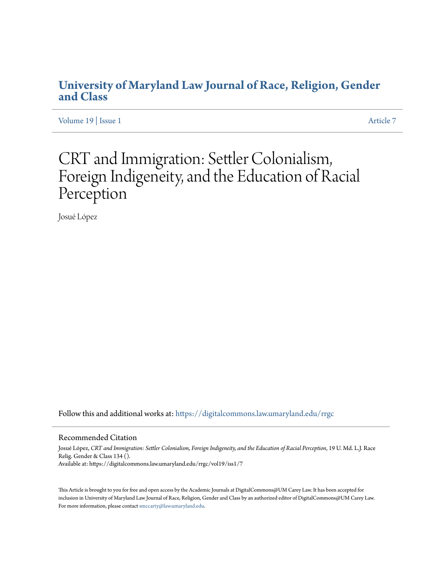# **[University of Maryland Law Journal of Race, Religion, Gender](https://digitalcommons.law.umaryland.edu/rrgc?utm_source=digitalcommons.law.umaryland.edu%2Frrgc%2Fvol19%2Fiss1%2F7&utm_medium=PDF&utm_campaign=PDFCoverPages) [and Class](https://digitalcommons.law.umaryland.edu/rrgc?utm_source=digitalcommons.law.umaryland.edu%2Frrgc%2Fvol19%2Fiss1%2F7&utm_medium=PDF&utm_campaign=PDFCoverPages)**

[Volume 19](https://digitalcommons.law.umaryland.edu/rrgc/vol19?utm_source=digitalcommons.law.umaryland.edu%2Frrgc%2Fvol19%2Fiss1%2F7&utm_medium=PDF&utm_campaign=PDFCoverPages) | [Issue 1](https://digitalcommons.law.umaryland.edu/rrgc/vol19/iss1?utm_source=digitalcommons.law.umaryland.edu%2Frrgc%2Fvol19%2Fiss1%2F7&utm_medium=PDF&utm_campaign=PDFCoverPages) [Article 7](https://digitalcommons.law.umaryland.edu/rrgc/vol19/iss1/7?utm_source=digitalcommons.law.umaryland.edu%2Frrgc%2Fvol19%2Fiss1%2F7&utm_medium=PDF&utm_campaign=PDFCoverPages)

# CRT and Immigration: Settler Colonialism, Foreign Indigeneity, and the Education of Racial Perception

Josué López

Follow this and additional works at: [https://digitalcommons.law.umaryland.edu/rrgc](https://digitalcommons.law.umaryland.edu/rrgc?utm_source=digitalcommons.law.umaryland.edu%2Frrgc%2Fvol19%2Fiss1%2F7&utm_medium=PDF&utm_campaign=PDFCoverPages)

#### Recommended Citation

Josué López, *CRT and Immigration: Settler Colonialism, Foreign Indigeneity, and the Education of Racial Perception*, 19 U. Md. L.J. Race Relig. Gender & Class 134 (). Available at: https://digitalcommons.law.umaryland.edu/rrgc/vol19/iss1/7

This Article is brought to you for free and open access by the Academic Journals at DigitalCommons@UM Carey Law. It has been accepted for inclusion in University of Maryland Law Journal of Race, Religion, Gender and Class by an authorized editor of DigitalCommons@UM Carey Law. For more information, please contact [smccarty@law.umaryland.edu.](mailto:smccarty@law.umaryland.edu)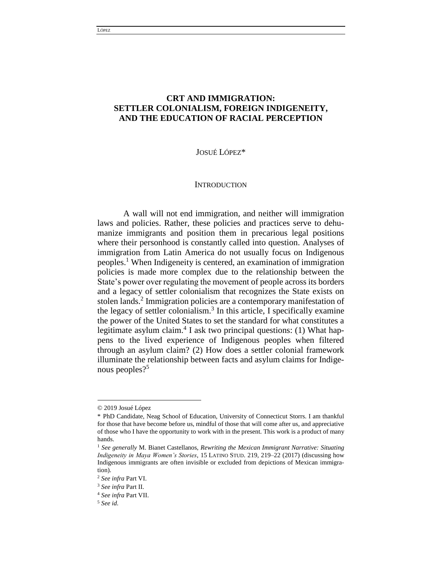# **CRT AND IMMIGRATION: SETTLER COLONIALISM, FOREIGN INDIGENEITY, AND THE EDUCATION OF RACIAL PERCEPTION**

JOSUÉ LÓPEZ\*

#### **INTRODUCTION**

A wall will not end immigration, and neither will immigration laws and policies. Rather, these policies and practices serve to dehumanize immigrants and position them in precarious legal positions where their personhood is constantly called into question. Analyses of immigration from Latin America do not usually focus on Indigenous peoples.<sup>1</sup> When Indigeneity is centered, an examination of immigration policies is made more complex due to the relationship between the State's power over regulating the movement of people across its borders and a legacy of settler colonialism that recognizes the State exists on stolen lands.<sup>2</sup> Immigration policies are a contemporary manifestation of the legacy of settler colonialism.<sup>3</sup> In this article, I specifically examine the power of the United States to set the standard for what constitutes a legitimate asylum claim.<sup>4</sup> I ask two principal questions: (1) What happens to the lived experience of Indigenous peoples when filtered through an asylum claim? (2) How does a settler colonial framework illuminate the relationship between facts and asylum claims for Indigenous peoples?<sup>5</sup>

<sup>© 2019</sup> Josué López

<sup>\*</sup> PhD Candidate, Neag School of Education, University of Connecticut Storrs. I am thankful for those that have become before us, mindful of those that will come after us, and appreciative of those who I have the opportunity to work with in the present. This work is a product of many hands.

<sup>1</sup> *See generally* M. Bianet Castellanos, *Rewriting the Mexican Immigrant Narrative: Situating Indigeneity in Maya Women's Stories*, 15 LATINO STUD. 219, 219–22 (2017) (discussing how Indigenous immigrants are often invisible or excluded from depictions of Mexican immigration).

<sup>2</sup> *See infra* Part VI.

<sup>3</sup> *See infra* Part II.

<sup>4</sup> *See infra* Part VII.

<sup>5</sup> *See id.*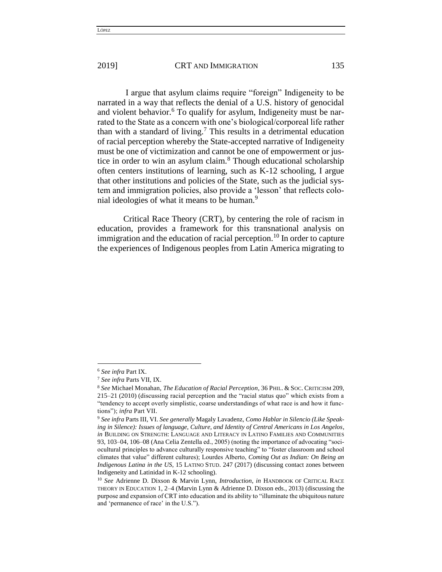I argue that asylum claims require "foreign" Indigeneity to be narrated in a way that reflects the denial of a U.S. history of genocidal and violent behavior.<sup>6</sup> To qualify for asylum, Indigeneity must be narrated to the State as a concern with one's biological/corporeal life rather than with a standard of living.<sup>7</sup> This results in a detrimental education of racial perception whereby the State-accepted narrative of Indigeneity must be one of victimization and cannot be one of empowerment or justice in order to win an asylum claim.<sup>8</sup> Though educational scholarship often centers institutions of learning, such as K-12 schooling, I argue that other institutions and policies of the State, such as the judicial system and immigration policies, also provide a 'lesson' that reflects colonial ideologies of what it means to be human.<sup>9</sup>

Critical Race Theory (CRT), by centering the role of racism in education, provides a framework for this transnational analysis on immigration and the education of racial perception.<sup>10</sup> In order to capture the experiences of Indigenous peoples from Latin America migrating to

<sup>6</sup> *See infra* Part IX.

<sup>7</sup> *See infra* Parts VII, IX.

<sup>8</sup> *See* Michael Monahan, *The Education of Racial Perception*, 36 PHIL. & SOC. CRITICISM 209, 215–21 (2010) (discussing racial perception and the "racial status quo" which exists from a "tendency to accept overly simplistic, coarse understandings of what race is and how it functions"); *infra* Part VII.

<sup>9</sup> *See infra* Parts III, VI. *See generally* Magaly Lavadenz, *Como Hablar in Silencio (Like Speaking in Silence): Issues of language, Culture, and Identity of Central Americans in Los Angelos*, *in* BUILDING ON STRENGTH: LANGUAGE AND LITERACY IN LATINO FAMILIES AND COMMUNITIES 93, 103–04, 106–08 (Ana Celia Zentella ed., 2005) (noting the importance of advocating "sociocultural principles to advance culturally responsive teaching" to "foster classroom and school climates that value" different cultures); Lourdes Alberto, *Coming Out as Indian: On Being an Indigenous Latina in the US*, 15 LATINO STUD. 247 (2017) (discussing contact zones between Indigeneity and Latinidad in K-12 schooling).

<sup>10</sup> *See* Adrienne D. Dixson & Marvin Lynn, *Introduction*, *in* HANDBOOK OF CRITICAL RACE THEORY IN EDUCATION 1, 2–4 (Marvin Lynn & Adrienne D. Dixson eds., 2013) (discussing the purpose and expansion of CRT into education and its ability to "illuminate the ubiquitous nature and 'permanence of race' in the U.S.").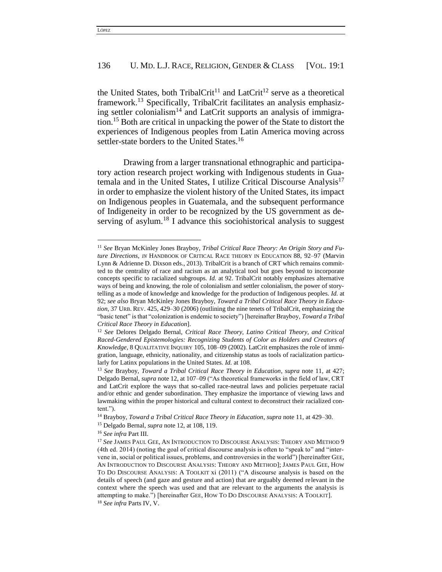the United States, both TribalCrit<sup>11</sup> and LatCrit<sup>12</sup> serve as a theoretical framework.<sup>13</sup> Specifically, TribalCrit facilitates an analysis emphasizing settler colonialism<sup>14</sup> and LatCrit supports an analysis of immigration.<sup>15</sup> Both are critical in unpacking the power of the State to distort the experiences of Indigenous peoples from Latin America moving across settler-state borders to the United States.<sup>16</sup>

Drawing from a larger transnational ethnographic and participatory action research project working with Indigenous students in Guatemala and in the United States, I utilize Critical Discourse Analysis<sup>17</sup> in order to emphasize the violent history of the United States, its impact on Indigenous peoples in Guatemala, and the subsequent performance of Indigeneity in order to be recognized by the US government as deserving of asylum.<sup>18</sup> I advance this sociohistorical analysis to suggest

<sup>11</sup> *See* Bryan McKinley Jones Brayboy, *Tribal Critical Race Theory: An Origin Story and Future Directions*, *IN* HANDBOOK OF CRITICAL RACE THEORY IN EDUCATION 88, 92–97 (Marvin Lynn & Adrienne D. Dixson eds., 2013). TribalCrit is a branch of CRT which remains committed to the centrality of race and racism as an analytical tool but goes beyond to incorporate concepts specific to racialized subgroups. *Id.* at 92. TribalCrit notably emphasizes alternative ways of being and knowing, the role of colonialism and settler colonialism, the power of storytelling as a mode of knowledge and knowledge for the production of Indigenous peoples. *Id.* at 92; *see also* Bryan McKinley Jones Brayboy, *Toward a Tribal Critical Race Theory in Education*, 37 URB. REV. 425, 429–30 (2006) (outlining the nine tenets of TribalCrit, emphasizing the "basic tenet" is that "colonization is endemic to society") [hereinafter Brayboy, *Toward a Tribal Critical Race Theory in Education*].

<sup>12</sup> *See* Delores Delgado Bernal, *Critical Race Theory, Latino Critical Theory, and Critical Raced-Gendered Epistemologies: Recognizing Students of Color as Holders and Creators of Knowledge*, 8 QUALITATIVE INQUIRY 105, 108–09 (2002). LatCrit emphasizes the role of immigration, language, ethnicity, nationality, and citizenship status as tools of racialization particularly for Latinx populations in the United States. *Id.* at 108.

<sup>13</sup> *See* Brayboy, *Toward a Tribal Critical Race Theory in Education*, *supra* note 11, at 427; Delgado Bernal, *supra* note 12, at 107–09 ("As theoretical frameworks in the field of law, CRT and LatCrit explore the ways that so-called race-neutral laws and policies perpetuate racial and/or ethnic and gender subordination. They emphasize the importance of viewing laws and lawmaking within the proper historical and cultural context to deconstruct their racialized content.").

<sup>14</sup> Brayboy, *Toward a Tribal Critical Race Theory in Education*, *supra* note 11, at 429–30.

<sup>15</sup> Delgado Bernal, *supra* note 12, at 108, 119.

<sup>16</sup> *See infra* Part III.

<sup>17</sup> *See* JAMES PAUL GEE, AN INTRODUCTION TO DISCOURSE ANALYSIS: THEORY AND METHOD 9 (4th ed. 2014) (noting the goal of critical discourse analysis is often to "speak to" and "intervene in, social or political issues, problems, and controversies in the world") [hereinafter GEE, AN INTRODUCTION TO DISCOURSE ANALYSIS: THEORY AND METHOD]; JAMES PAUL GEE, HOW TO DO DISCOURSE ANALYSIS: A TOOLKIT xi (2011) ("A discourse analysis is based on the details of speech (and gaze and gesture and action) that are arguably deemed relevant in the context where the speech was used and that are relevant to the arguments the analysis is attempting to make.") [hereinafter GEE, HOW TO DO DISCOURSE ANALYSIS: A TOOLKIT]. <sup>18</sup> *See infra* Parts IV, V.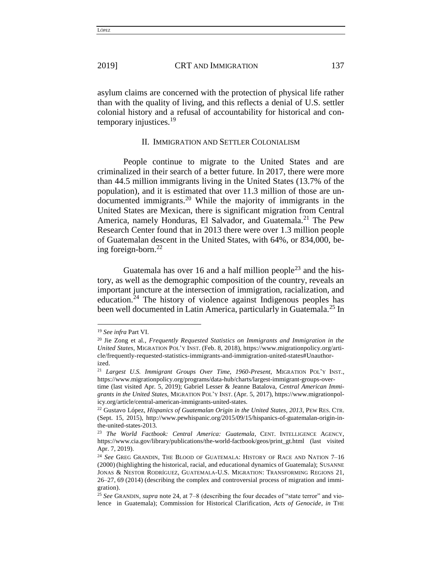asylum claims are concerned with the protection of physical life rather than with the quality of living, and this reflects a denial of U.S. settler colonial history and a refusal of accountability for historical and contemporary injustices.<sup>19</sup>

#### II. IMMIGRATION AND SETTLER COLONIALISM

People continue to migrate to the United States and are criminalized in their search of a better future. In 2017, there were more than 44.5 million immigrants living in the United States (13.7% of the population), and it is estimated that over 11.3 million of those are undocumented immigrants.<sup>20</sup> While the majority of immigrants in the United States are Mexican, there is significant migration from Central America, namely Honduras, El Salvador, and Guatemala.<sup>21</sup> The Pew Research Center found that in 2013 there were over 1.3 million people of Guatemalan descent in the United States, with 64%, or 834,000, being foreign-born. $^{22}$ 

Guatemala has over 16 and a half million people<sup>23</sup> and the history, as well as the demographic composition of the country, reveals an important juncture at the intersection of immigration, racialization, and education.<sup>24</sup> The history of violence against Indigenous peoples has been well documented in Latin America, particularly in Guatemala.<sup>25</sup> In

<sup>19</sup> *See infra* Part VI.

<sup>20</sup> Jie Zong et al., *Frequently Requested Statistics on Immigrants and Immigration in the United States*, MIGRATION POL'Y INST. (Feb. 8, 2018), https://www.migrationpolicy.org/article/frequently-requested-statistics-immigrants-and-immigration-united-states#Unauthorized.

<sup>21</sup> *Largest U.S. Immigrant Groups Over Time, 1960-Present*, MIGRATION POL'Y INST., https://www.migrationpolicy.org/programs/data-hub/charts/largest-immigrant-groups-overtime (last visited Apr. 5, 2019); Gabriel Lesser & Jeanne Batalova, *Central American Immigrants in the United States*, MIGRATION POL'Y INST. (Apr. 5, 2017), https://www.migrationpolicy.org/article/central-american-immigrants-united-states.

<sup>22</sup> Gustavo López, *Hispanics of Guatemalan Origin in the United States, 2013*, PEW RES. CTR. (Sept. 15, 2015), http://www.pewhispanic.org/2015/09/15/hispanics-of-guatemalan-origin-inthe-united-states-2013.

<sup>&</sup>lt;sup>23</sup> The World Factbook: Central America: Guatemala, CENT. INTELLIGENCE AGENCY, https://www.cia.gov/library/publications/the-world-factbook/geos/print\_gt.html (last visited Apr. 7, 2019).

<sup>24</sup> *See* GREG GRANDIN, THE BLOOD OF GUATEMALA: HISTORY OF RACE AND NATION 7–16 (2000) (highlighting the historical, racial, and educational dynamics of Guatemala); SUSANNE JONAS & NESTOR RODRÍGUEZ, GUATEMALA-U.S. MIGRATION: TRANSFORMING REGIONS 21, 26–27, 69 (2014) (describing the complex and controversial process of migration and immigration).

<sup>25</sup> *See* GRANDIN, *supra* note 24, at 7–8 (describing the four decades of "state terror" and violence in Guatemala); Commission for Historical Clarification, *Acts of Genocide*, *in* THE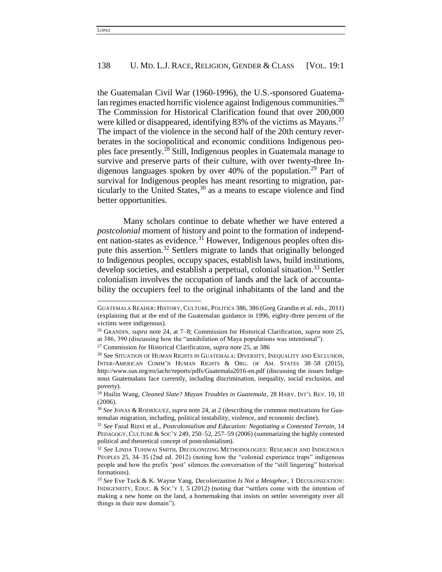the Guatemalan Civil War (1960-1996), the U.S.-sponsored Guatemalan regimes enacted horrific violence against Indigenous communities.<sup>26</sup> The Commission for Historical Clarification found that over 200,000 were killed or disappeared, identifying 83% of the victims as Mayans.<sup>27</sup> The impact of the violence in the second half of the 20th century reverberates in the sociopolitical and economic conditions Indigenous peoples face presently.<sup>28</sup> Still, Indigenous peoples in Guatemala manage to survive and preserve parts of their culture, with over twenty-three Indigenous languages spoken by over  $40\%$  of the population.<sup>29</sup> Part of survival for Indigenous peoples has meant resorting to migration, particularly to the United States,<sup>30</sup> as a means to escape violence and find better opportunities.

Many scholars continue to debate whether we have entered a *postcolonial* moment of history and point to the formation of independent nation-states as evidence.<sup>31</sup> However, Indigenous peoples often dispute this assertion.<sup>32</sup> Settlers migrate to lands that originally belonged to Indigenous peoples, occupy spaces, establish laws, build institutions, develop societies, and establish a perpetual, colonial situation.<sup>33</sup> Settler colonialism involves the occupation of lands and the lack of accountability the occupiers feel to the original inhabitants of the land and the

GUATEMALA READER: HISTORY, CULTURE, POLITICS 386, 386 (Greg Grandin et al. eds., 2011) (explaining that at the end of the Guatemalan guidance in 1996, eighty-three percent of the victims were indigenous).

<sup>26</sup> GRANDIN, *supra* note 24, at 7–8; Commission for Historical Clarification, *supra* note 25, at 386, 390 (discussing how the "annihilation of Maya populations was intentional").

<sup>27</sup> Commission for Historical Clarification, *supra* note 25, at 386

<sup>28</sup> See SITUATION OF HUMAN RIGHTS IN GUATEMALA: DIVERSITY, INEQUALITY AND EXCLUSION, INTER-AMERICAN COMM'N HUMAN RIGHTS & ORG. OF AM. STATES 38–58 (2015), http://www.oas.org/en/iachr/reports/pdfs/Guatemala2016-en.pdf (discussing the issues Indigenous Guatemalans face currently, including discrimination, inequality, social exclusion, and poverty).

<sup>29</sup> Huilin Wang, *Cleaned Slate? Mayan Troubles in Guatemala*, 28 HARV. INT'L REV. 10, 10 (2006).

<sup>30</sup> *See* JONAS & RODRÍGUEZ, *supra* note 24, at 2 (describing the common motivations for Guatemalan migration, including, political instability, violence, and economic decline).

<sup>31</sup> *See* Fazal Rizvi et al., *Postcolonialism and Education: Negotiating a Contested Terrain*, 14 PEDAGOGY, CULTURE & SOC'Y 249, 250–52, 257–59 (2006) (summarizing the highly contested political and theoretical concept of postcolonialism).

<sup>32</sup> *See* LINDA TUHIWAI SMITH, DECOLONIZING METHODOLOGIES: RESEARCH AND INDIGENOUS PEOPLES 25, 34–35 (2nd ed. 2012) (noting how the "colonial experience traps" indigenous people and how the prefix 'post' silences the conversation of the "still lingering" historical formations).

<sup>33</sup> *See* Eve Tuck & K. Wayne Yang, *Decolonization Is Not a Metaphor*, 1 DECOLONIZATION: INDIGENEITY, EDUC. & SOC'Y 1, 5 (2012) (noting that "settlers come with the intention of making a new home on the land, a homemaking that insists on settler sovereignty over all things in their new domain").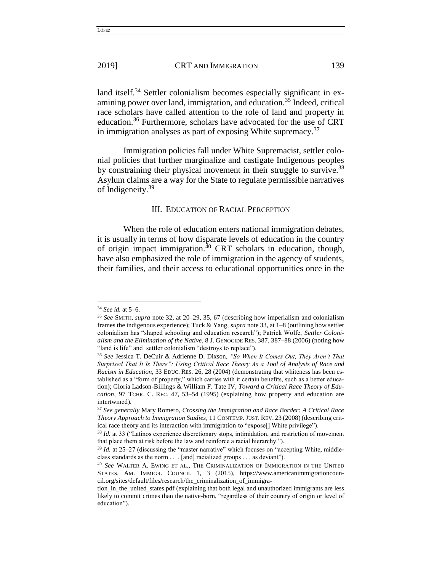land itself.<sup>34</sup> Settler colonialism becomes especially significant in examining power over land, immigration, and education.<sup>35</sup> Indeed, critical race scholars have called attention to the role of land and property in education.<sup>36</sup> Furthermore, scholars have advocated for the use of CRT in immigration analyses as part of exposing White supremacy. $37$ 

Immigration policies fall under White Supremacist, settler colonial policies that further marginalize and castigate Indigenous peoples by constraining their physical movement in their struggle to survive.<sup>38</sup> Asylum claims are a way for the State to regulate permissible narratives of Indigeneity.<sup>39</sup>

#### III. EDUCATION OF RACIAL PERCEPTION

When the role of education enters national immigration debates, it is usually in terms of how disparate levels of education in the country of origin impact immigration.<sup>40</sup> CRT scholars in education, though, have also emphasized the role of immigration in the agency of students, their families, and their access to educational opportunities once in the

<sup>34</sup> *See id.* at 5–6.

<sup>35</sup> *See* SMITH, *supra* note 32, at 20–29, 35, 67 (describing how imperialism and colonialism frames the indigenous experience); Tuck & Yang, *supra* note 33, at 1–8 (outlining how settler colonialism has "shaped schooling and education research"); Patrick Wolfe, *Settler Colonialism and the Elimination of the Native*, 8 J. GENOCIDE RES. 387, 387–88 (2006) (noting how "land is life" and settler colonialism "destroys to replace").

<sup>36</sup> *See* Jessica T. DeCuir & Adrienne D. Dixson, *"So When It Comes Out, They Aren't That Surprised That It Is There": Using Critical Race Theory As a Tool of Analysis of Race and Racism in Education*, 33 EDUC. RES. 26, 28 (2004) (demonstrating that whiteness has been established as a "form of property," which carries with it certain benefits, such as a better education); Gloria Ladson-Billings & William F. Tate IV, *Toward a Critical Race Theory of Education*, 97 TCHR. C. REC. 47, 53–54 (1995) (explaining how property and education are intertwined).

<sup>37</sup> *See generally* Mary Romero, *Crossing the Immigration and Race Border: A Critical Race Theory Approach to Immigration Studies*, 11 CONTEMP.JUST. REV. 23 (2008) (describing critical race theory and its interaction with immigration to "expose[] White privilege").

<sup>&</sup>lt;sup>38</sup> *Id.* at 33 ("Latinos experience discretionary stops, intimidation, and restriction of movement that place them at risk before the law and reinforce a racial hierarchy.").

<sup>&</sup>lt;sup>39</sup> *Id.* at 25–27 (discussing the "master narrative" which focuses on "accepting White, middleclass standards as the norm . . . [and] racialized groups . . . as deviant").

<sup>40</sup> *See* WALTER A. EWING ET AL., THE CRIMINALIZATION OF IMMIGRATION IN THE UNITED STATES, AM. IMMIGR. COUNCIL 1, 3 (2015), https://www.americanimmigrationcouncil.org/sites/default/files/research/the\_criminalization\_of\_immigra-

tion in the united states.pdf (explaining that both legal and unauthorized immigrants are less likely to commit crimes than the native-born, "regardless of their country of origin or level of education").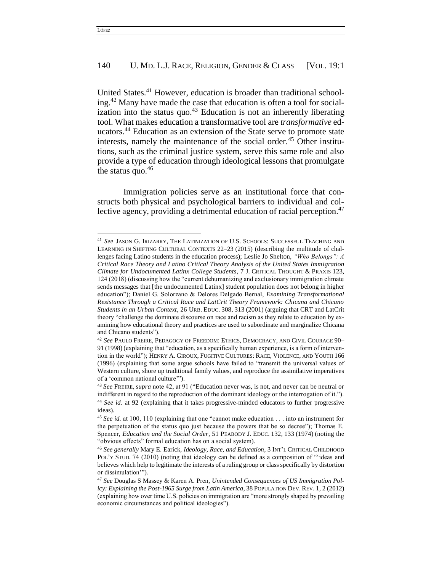United States.<sup>41</sup> However, education is broader than traditional schooling.<sup>42</sup> Many have made the case that education is often a tool for socialization into the status quo. $43$  Education is not an inherently liberating tool. What makes education a transformative tool are *transformative* educators.<sup>44</sup> Education as an extension of the State serve to promote state interests, namely the maintenance of the social order.<sup>45</sup> Other institutions, such as the criminal justice system, serve this same role and also provide a type of education through ideological lessons that promulgate the status quo. $46$ 

Immigration policies serve as an institutional force that constructs both physical and psychological barriers to individual and collective agency, providing a detrimental education of racial perception.<sup>47</sup>

<sup>41</sup> *See* JASON G. IRIZARRY, THE LATINIZATION OF U.S. SCHOOLS: SUCCESSFUL TEACHING AND LEARNING IN SHIFTING CULTURAL CONTEXTS 22–23 (2015) (describing the multitude of challenges facing Latino students in the education process); Leslie Jo Shelton, *"Who Belongs": A Critical Race Theory and Latino Critical Theory Analysis of the United States Immigration Climate for Undocumented Latinx College Students*, 7 J. CRITICAL THOUGHT & PRAXIS 123, 124 (2018) (discussing how the "current dehumanizing and exclusionary immigration climate sends messages that [the undocumented Latinx] student population does not belong in higher education"); Daniel G. Solorzano & Delores Delgado Bernal, *Examining Transformational Resistance Through a Critical Race and LatCrit Theory Framework: Chicana and Chicano Students in an Urban Context*, 26 URB. EDUC. 308, 313 (2001) (arguing that CRT and LatCrit theory "challenge the dominate discourse on race and racism as they relate to education by examining how educational theory and practices are used to subordinate and marginalize Chicana and Chicano students").

<sup>42</sup> *See* PAULO FREIRE, PEDAGOGY OF FREEDOM: ETHICS, DEMOCRACY, AND CIVIL COURAGE 90– 91 (1998) (explaining that "education, as a specifically human experience, is a form of intervention in the world"); HENRY A. GIROUX, FUGITIVE CULTURES: RACE, VIOLENCE, AND YOUTH 166 (1996) (explaining that some argue schools have failed to "transmit the universal values of Western culture, shore up traditional family values, and reproduce the assimilative imperatives of a 'common national culture'").

<sup>43</sup> *See* FREIRE, *supra* note 42, at 91 ("Education never was, is not, and never can be neutral or indifferent in regard to the reproduction of the dominant ideology or the interrogation of it."). <sup>44</sup> *See id.* at 92 (explaining that it takes progressive-minded educators to further progressive ideas).

<sup>45</sup> *See id.* at 100, 110 (explaining that one "cannot make education . . . into an instrument for the perpetuation of the status quo just because the powers that be so decree"); Thomas E. Spencer, *Education and the Social Order*, 51 PEABODY J. EDUC. 132, 133 (1974) (noting the "obvious effects" formal education has on a social system).

<sup>46</sup> *See generally* Mary E. Earick, *Ideology, Race, and Education*, 3 INT'L CRITICAL CHILDHOOD POL'Y STUD. 74 (2010) (noting that ideology can be defined as a composition of "'ideas and believes which help to legitimate the interests of a ruling group or class specifically by distortion or dissimulation'").

<sup>47</sup> *See* Douglas S Massey & Karen A. Pren, *Unintended Consequences of US Immigration Policy: Explaining the Post-1965 Surge from Latin America*, 38 POPULATION DEV. REV. 1, 2 (2012) (explaining how over time U.S. policies on immigration are "more strongly shaped by prevailing economic circumstances and political ideologies").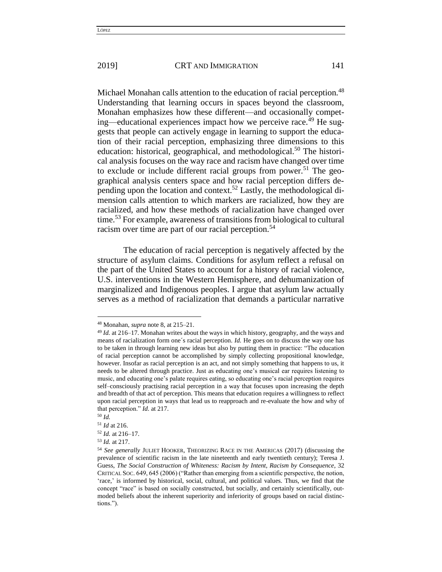Michael Monahan calls attention to the education of racial perception.<sup>48</sup> Understanding that learning occurs in spaces beyond the classroom, Monahan emphasizes how these different—and occasionally competing—educational experiences impact how we perceive race.<sup>49</sup> He suggests that people can actively engage in learning to support the education of their racial perception, emphasizing three dimensions to this education: historical, geographical, and methodological.<sup>50</sup> The historical analysis focuses on the way race and racism have changed over time to exclude or include different racial groups from power.<sup>51</sup> The geographical analysis centers space and how racial perception differs depending upon the location and context.<sup>52</sup> Lastly, the methodological dimension calls attention to which markers are racialized, how they are racialized, and how these methods of racialization have changed over time.<sup>53</sup> For example, awareness of transitions from biological to cultural racism over time are part of our racial perception.<sup>54</sup>

The education of racial perception is negatively affected by the structure of asylum claims. Conditions for asylum reflect a refusal on the part of the United States to account for a history of racial violence, U.S. interventions in the Western Hemisphere, and dehumanization of marginalized and Indigenous peoples. I argue that asylum law actually serves as a method of racialization that demands a particular narrative

<sup>48</sup> Monahan, *supra* note 8, at 215–21.

<sup>49</sup> *Id.* at 216–17. Monahan writes about the ways in which history, geography, and the ways and means of racialization form one´s racial perception. *Id.* He goes on to discuss the way one has to be taken in through learning new ideas but also by putting them in practice: "The education of racial perception cannot be accomplished by simply collecting propositional knowledge, however. Insofar as racial perception is an act, and not simply something that happens to us, it needs to be altered through practice. Just as educating one's musical ear requires listening to music, and educating one's palate requires eating, so educating one's racial perception requires self–consciously practising racial perception in a way that focuses upon increasing the depth and breadth of that act of perception. This means that education requires a willingness to reflect upon racial perception in ways that lead us to reapproach and re-evaluate the how and why of that perception." *Id.* at 217.

<sup>50</sup> *Id.*

<sup>51</sup> *Id* at 216.

<sup>52</sup> *Id.* at 216–17.

<sup>53</sup> *Id.* at 217.

<sup>54</sup> *See generally* JULIET HOOKER, THEORIZING RACE IN THE AMERICAS (2017) (discussing the prevalence of scientific racism in the late nineteenth and early twentieth century); Teresa J. Guess, *The Social Construction of Whiteness: Racism by Intent, Racism by Consequence*, 32 CRITICAL SOC. 649, 645 (2006) ("Rather than emerging from a scientific perspective, the notion, 'race,' is informed by historical, social, cultural, and political values. Thus, we find that the concept "race" is based on socially constructed, but socially, and certainly scientifically, outmoded beliefs about the inherent superiority and inferiority of groups based on racial distinctions.").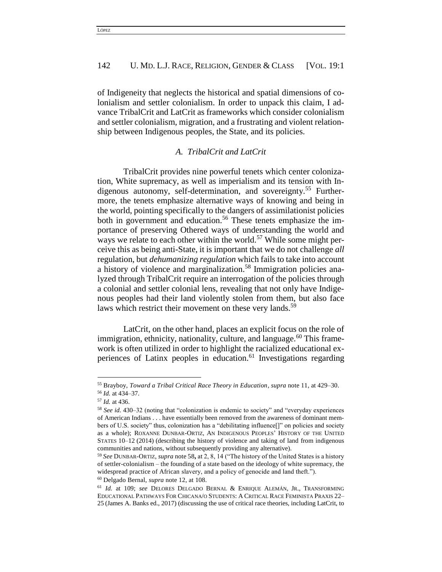of Indigeneity that neglects the historical and spatial dimensions of colonialism and settler colonialism. In order to unpack this claim, I advance TribalCrit and LatCrit as frameworks which consider colonialism and settler colonialism, migration, and a frustrating and violent relationship between Indigenous peoples, the State, and its policies.

# *A. TribalCrit and LatCrit*

TribalCrit provides nine powerful tenets which center colonization, White supremacy, as well as imperialism and its tension with Indigenous autonomy, self-determination, and sovereignty.<sup>55</sup> Furthermore, the tenets emphasize alternative ways of knowing and being in the world, pointing specifically to the dangers of assimilationist policies both in government and education.<sup>56</sup> These tenets emphasize the importance of preserving Othered ways of understanding the world and ways we relate to each other within the world.<sup>57</sup> While some might perceive this as being anti-State, it is important that we do not challenge *all*  regulation, but *dehumanizing regulation* which fails to take into account a history of violence and marginalization.<sup>58</sup> Immigration policies analyzed through TribalCrit require an interrogation of the policies through a colonial and settler colonial lens, revealing that not only have Indigenous peoples had their land violently stolen from them, but also face laws which restrict their movement on these very lands.<sup>59</sup>

LatCrit, on the other hand, places an explicit focus on the role of immigration, ethnicity, nationality, culture, and language.<sup>60</sup> This framework is often utilized in order to highlight the racialized educational experiences of Latinx peoples in education.<sup>61</sup> Investigations regarding

<sup>55</sup> Brayboy, *Toward a Tribal Critical Race Theory in Education*, *supra* note 11, at 429–30. <sup>56</sup> *Id.* at 434–37.

<sup>57</sup> *Id.* at 436.

<sup>58</sup> *See id.* 430–32 (noting that "colonization is endemic to society" and "everyday experiences of American Indians . . . have essentially been removed from the awareness of dominant members of U.S. society" thus, colonization has a "debilitating influence<sup>[]"</sup> on policies and society as a whole); ROXANNE DUNBAR-ORTIZ, AN INDIGENOUS PEOPLES' HISTORY OF THE UNITED STATES 10–12 (2014) (describing the history of violence and taking of land from indigenous communities and nations, without subsequently providing any alternative).

<sup>59</sup> *See* DUNBAR-ORTIZ, *supra* note 58**,** at 2, 8, 14 ("The history of the United States is a history of settler-colonialism – the founding of a state based on the ideology of white supremacy, the widespread practice of African slavery, and a policy of genocide and land theft.").

<sup>60</sup> Delgado Bernal, *supra* note 12, at 108.

<sup>61</sup> *Id.* at 109; *see* DELORES DELGADO BERNAL & ENRIQUE ALEMÁN, JR., TRANSFORMING EDUCATIONAL PATHWAYS FOR CHICANA/O STUDENTS: A CRITICAL RACE FEMINISTA PRAXIS 22– 25 (James A. Banks ed., 2017) (discussing the use of critical race theories, including LatCrit, to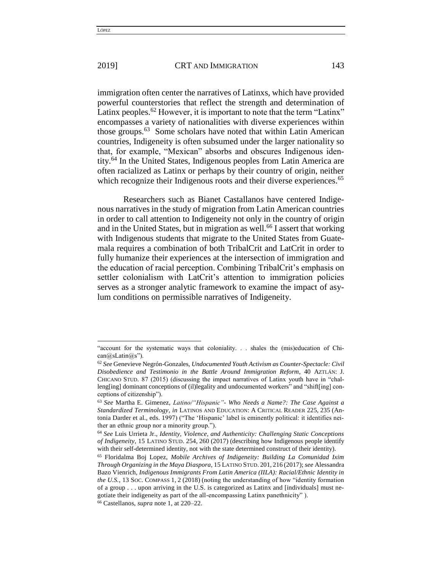$\overline{\phantom{a}}$ 

#### 2019] **CRT AND IMMIGRATION** 143

immigration often center the narratives of Latinxs, which have provided powerful counterstories that reflect the strength and determination of Latinx peoples.<sup>62</sup> However, it is important to note that the term "Latinx" encompasses a variety of nationalities with diverse experiences within those groups.<sup>63</sup> Some scholars have noted that within Latin American countries, Indigeneity is often subsumed under the larger nationality so that, for example, "Mexican" absorbs and obscures Indigenous identity.<sup>64</sup> In the United States, Indigenous peoples from Latin America are often racialized as Latinx or perhaps by their country of origin, neither which recognize their Indigenous roots and their diverse experiences.<sup>65</sup>

Researchers such as Bianet Castallanos have centered Indigenous narratives in the study of migration from Latin American countries in order to call attention to Indigeneity not only in the country of origin and in the United States, but in migration as well.<sup>66</sup> I assert that working with Indigenous students that migrate to the United States from Guatemala requires a combination of both TribalCrit and LatCrit in order to fully humanize their experiences at the intersection of immigration and the education of racial perception. Combining TribalCrit's emphasis on settler colonialism with LatCrit's attention to immigration policies serves as a stronger analytic framework to examine the impact of asylum conditions on permissible narratives of Indigeneity.

<sup>&</sup>quot;account for the systematic ways that coloniality. . . shales the (mis)education of Chi $can@sLatin@s"$ ).

<sup>62</sup> *See* Genevieve Negrón-Gonzales, *Undocumented Youth Activism as Counter-Spectacle: Civil Disobedience and Testimonio in the Battle Around Immigration Reform*, 40 AZTLÁN: J. CHICANO STUD. 87 (2015) (discussing the impact narratives of Latinx youth have in "challeng[ing] dominant conceptions of (il)legality and undocumented workers" and "shift[ing] conceptions of citizenship").

<sup>63</sup> *See* Martha E. Gimenez, *Latino/"Hispanic"- Who Needs a Name?: The Case Against a Standardized Terminology*, *in* LATINOS AND EDUCATION: A CRITICAL READER 225, 235 (Antonia Darder et al., eds. 1997) ("The 'Hispanic' label is eminently political: it identifies neither an ethnic group nor a minority group.").

<sup>64</sup> *See* Luis Urrieta Jr., *Identity, Violence, and Authenticity: Challenging Static Conceptions of Indigeneity*, 15 LATINO STUD. 254, 260 (2017) (describing how Indigenous people identify with their self-determined identity, not with the state determined construct of their identity).

<sup>65</sup> Floridalma Boj Lopez, *Mobile Archives of Indigeneity: Building La Comunidad Ixim Through Organizing in the Maya Diaspora*, 15 LATINO STUD. 201, 216 (2017); *see* Alessandra Bazo Vienrich, *Indigenous Immigrants From Latin America (IILA): Racial/Ethnic Identity in the U.S.*, 13 SOC. COMPASS 1, 2 (2018) (noting the understanding of how "identity formation of a group . . . upon arriving in the U.S. is categorized as Latinx and [individuals] must negotiate their indigeneity as part of the all-encompassing Latinx panethnicity" ).

<sup>66</sup> Castellanos, *supra* note 1, at 220–22.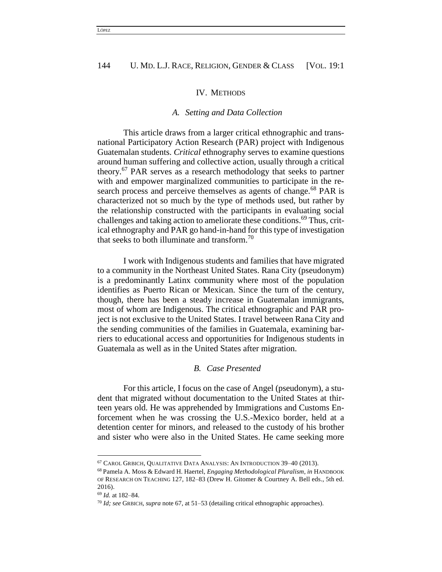#### IV. METHODS

#### *A. Setting and Data Collection*

This article draws from a larger critical ethnographic and transnational Participatory Action Research (PAR) project with Indigenous Guatemalan students. *Critical* ethnography serves to examine questions around human suffering and collective action, usually through a critical theory.<sup>67</sup> PAR serves as a research methodology that seeks to partner with and empower marginalized communities to participate in the research process and perceive themselves as agents of change.<sup>68</sup> PAR is characterized not so much by the type of methods used, but rather by the relationship constructed with the participants in evaluating social challenges and taking action to ameliorate these conditions.<sup>69</sup> Thus, critical ethnography and PAR go hand-in-hand for this type of investigation that seeks to both illuminate and transform.<sup>70</sup>

I work with Indigenous students and families that have migrated to a community in the Northeast United States. Rana City (pseudonym) is a predominantly Latinx community where most of the population identifies as Puerto Rican or Mexican. Since the turn of the century, though, there has been a steady increase in Guatemalan immigrants, most of whom are Indigenous. The critical ethnographic and PAR project is not exclusive to the United States. I travel between Rana City and the sending communities of the families in Guatemala, examining barriers to educational access and opportunities for Indigenous students in Guatemala as well as in the United States after migration.

#### *B. Case Presented*

For this article, I focus on the case of Angel (pseudonym), a student that migrated without documentation to the United States at thirteen years old. He was apprehended by Immigrations and Customs Enforcement when he was crossing the U.S.-Mexico border, held at a detention center for minors, and released to the custody of his brother and sister who were also in the United States. He came seeking more

<sup>67</sup> CAROL GRBICH, QUALITATIVE DATA ANALYSIS: AN INTRODUCTION 39–40 (2013).

<sup>68</sup> Pamela A. Moss & Edward H. Haertel, *Engaging Methodological Pluralism*, *in* HANDBOOK OF RESEARCH ON TEACHING 127, 182–83 (Drew H. Gitomer & Courtney A. Bell eds., 5th ed. 2016).

<sup>69</sup> *Id.* at 182–84.

<sup>70</sup> *Id; see* GRBICH, *supra* note 67, at 51–53 (detailing critical ethnographic approaches).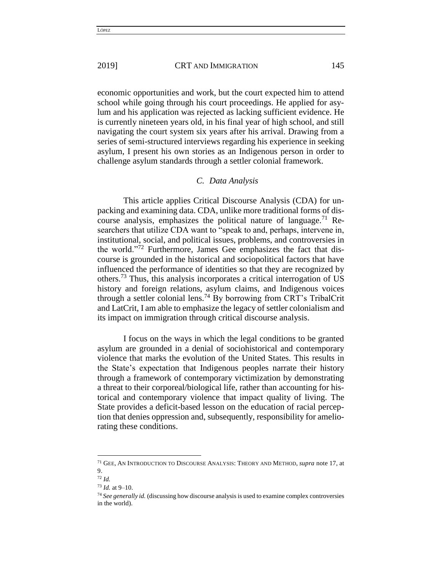economic opportunities and work, but the court expected him to attend school while going through his court proceedings. He applied for asylum and his application was rejected as lacking sufficient evidence. He is currently nineteen years old, in his final year of high school, and still navigating the court system six years after his arrival. Drawing from a series of semi-structured interviews regarding his experience in seeking asylum, I present his own stories as an Indigenous person in order to challenge asylum standards through a settler colonial framework.

#### *C. Data Analysis*

This article applies Critical Discourse Analysis (CDA) for unpacking and examining data. CDA, unlike more traditional forms of discourse analysis, emphasizes the political nature of language.<sup>71</sup> Researchers that utilize CDA want to "speak to and, perhaps, intervene in, institutional, social, and political issues, problems, and controversies in the world."<sup>72</sup> Furthermore, James Gee emphasizes the fact that discourse is grounded in the historical and sociopolitical factors that have influenced the performance of identities so that they are recognized by others.<sup>73</sup> Thus, this analysis incorporates a critical interrogation of US history and foreign relations, asylum claims, and Indigenous voices through a settler colonial lens.<sup>74</sup> By borrowing from CRT's TribalCrit and LatCrit, I am able to emphasize the legacy of settler colonialism and its impact on immigration through critical discourse analysis.

I focus on the ways in which the legal conditions to be granted asylum are grounded in a denial of sociohistorical and contemporary violence that marks the evolution of the United States. This results in the State's expectation that Indigenous peoples narrate their history through a framework of contemporary victimization by demonstrating a threat to their corporeal/biological life, rather than accounting for historical and contemporary violence that impact quality of living. The State provides a deficit-based lesson on the education of racial perception that denies oppression and, subsequently, responsibility for ameliorating these conditions.

<sup>71</sup> GEE, AN INTRODUCTION TO DISCOURSE ANALYSIS: THEORY AND METHOD, *supra* note 17, at 9.

<sup>72</sup> *Id.*

<sup>73</sup> *Id.* at 9–10.

<sup>74</sup> *See generally id.* (discussing how discourse analysis is used to examine complex controversies in the world).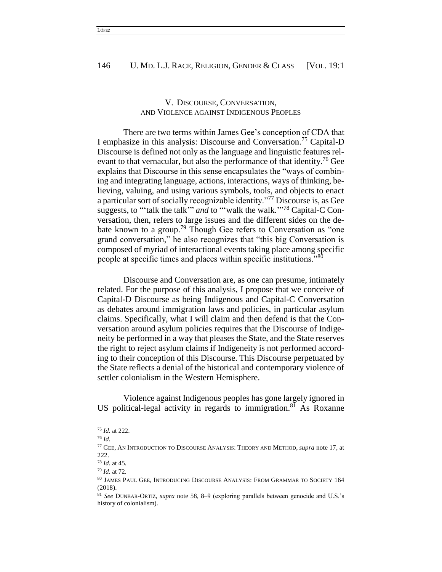# V. DISCOURSE, CONVERSATION, AND VIOLENCE AGAINST INDIGENOUS PEOPLES

There are two terms within James Gee's conception of CDA that I emphasize in this analysis: Discourse and Conversation.<sup>75</sup> Capital-D Discourse is defined not only as the language and linguistic features relevant to that vernacular, but also the performance of that identity.<sup>76</sup> Gee explains that Discourse in this sense encapsulates the "ways of combining and integrating language, actions, interactions, ways of thinking, believing, valuing, and using various symbols, tools, and objects to enact a particular sort of socially recognizable identity."<sup>77</sup> Discourse is, as Gee suggests, to "'talk the talk'" *and* to "'walk the walk.'" <sup>78</sup> Capital-C Conversation, then, refers to large issues and the different sides on the debate known to a group.<sup>79</sup> Though Gee refers to Conversation as "one" grand conversation," he also recognizes that "this big Conversation is composed of myriad of interactional events taking place among specific people at specific times and places within specific institutions."<sup>80</sup>

Discourse and Conversation are, as one can presume, intimately related. For the purpose of this analysis, I propose that we conceive of Capital-D Discourse as being Indigenous and Capital-C Conversation as debates around immigration laws and policies, in particular asylum claims. Specifically, what I will claim and then defend is that the Conversation around asylum policies requires that the Discourse of Indigeneity be performed in a way that pleases the State, and the State reserves the right to reject asylum claims if Indigeneity is not performed according to their conception of this Discourse. This Discourse perpetuated by the State reflects a denial of the historical and contemporary violence of settler colonialism in the Western Hemisphere.

Violence against Indigenous peoples has gone largely ignored in US political-legal activity in regards to immigration.<sup>81</sup> As Roxanne

<sup>75</sup> *Id.* at 222.

<sup>76</sup> *Id.*

<sup>77</sup> GEE, AN INTRODUCTION TO DISCOURSE ANALYSIS: THEORY AND METHOD, *supra* note 17, at 222.

<sup>78</sup> *Id.* at 45.

<sup>79</sup> *Id.* at 72.

<sup>80</sup> JAMES PAUL GEE, INTRODUCING DISCOURSE ANALYSIS: FROM GRAMMAR TO SOCIETY 164 (2018).

<sup>81</sup> *See* DUNBAR-ORTIZ, *supra* note 58, 8–9 (exploring parallels between genocide and U.S.'s history of colonialism).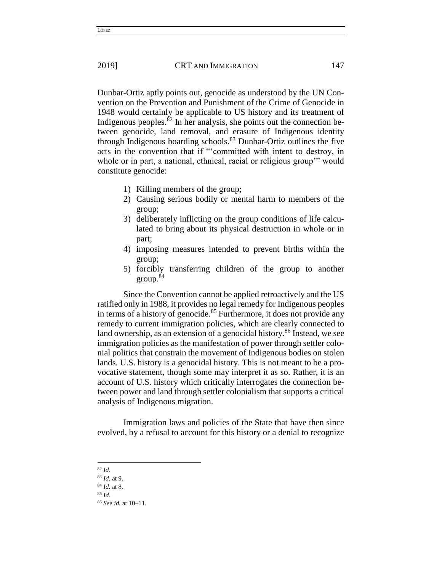Dunbar-Ortiz aptly points out, genocide as understood by the UN Convention on the Prevention and Punishment of the Crime of Genocide in 1948 would certainly be applicable to US history and its treatment of Indigenous peoples.<sup>82</sup> In her analysis, she points out the connection between genocide, land removal, and erasure of Indigenous identity through Indigenous boarding schools.<sup>83</sup> Dunbar-Ortiz outlines the five acts in the convention that if "'committed with intent to destroy, in whole or in part, a national, ethnical, racial or religious group'" would constitute genocide:

- 1) Killing members of the group;
- 2) Causing serious bodily or mental harm to members of the group;
- 3) deliberately inflicting on the group conditions of life calculated to bring about its physical destruction in whole or in part;
- 4) imposing measures intended to prevent births within the group;
- 5) forcibly transferring children of the group to another  $\rm{group.}^{\rm 84}$

Since the Convention cannot be applied retroactively and the US ratified only in 1988, it provides no legal remedy for Indigenous peoples in terms of a history of genocide.<sup>85</sup> Furthermore, it does not provide any remedy to current immigration policies, which are clearly connected to land ownership, as an extension of a genocidal history.<sup>86</sup> Instead, we see immigration policies as the manifestation of power through settler colonial politics that constrain the movement of Indigenous bodies on stolen lands. U.S. history is a genocidal history. This is not meant to be a provocative statement, though some may interpret it as so. Rather, it is an account of U.S. history which critically interrogates the connection between power and land through settler colonialism that supports a critical analysis of Indigenous migration.

Immigration laws and policies of the State that have then since evolved, by a refusal to account for this history or a denial to recognize

 $\overline{\phantom{a}}$ 

LÓPEZ

<sup>82</sup> *Id.*

<sup>83</sup> *Id.* at 9.

<sup>84</sup> *Id.* at 8.

<sup>85</sup> *Id.*

<sup>86</sup> *See id.* at 10–11.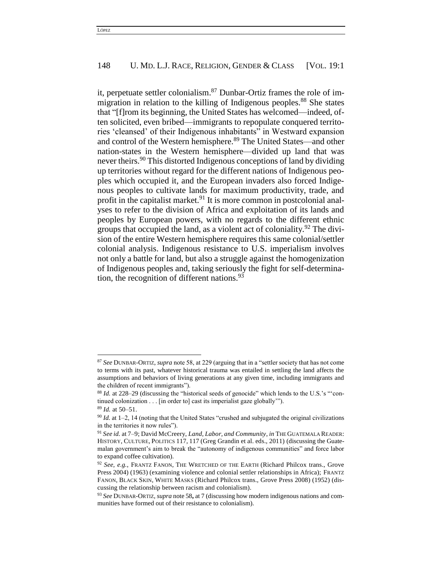it, perpetuate settler colonialism.<sup>87</sup> Dunbar-Ortiz frames the role of immigration in relation to the killing of Indigenous peoples.<sup>88</sup> She states that "[f]rom its beginning, the United States has welcomed—indeed, often solicited, even bribed—immigrants to repopulate conquered territories 'cleansed' of their Indigenous inhabitants" in Westward expansion and control of the Western hemisphere.<sup>89</sup> The United States—and other nation-states in the Western hemisphere—divided up land that was never theirs.<sup>90</sup> This distorted Indigenous conceptions of land by dividing up territories without regard for the different nations of Indigenous peoples which occupied it, and the European invaders also forced Indigenous peoples to cultivate lands for maximum productivity, trade, and profit in the capitalist market.<sup>91</sup> It is more common in postcolonial analyses to refer to the division of Africa and exploitation of its lands and peoples by European powers, with no regards to the different ethnic groups that occupied the land, as a violent act of coloniality.<sup>92</sup> The division of the entire Western hemisphere requires this same colonial/settler colonial analysis. Indigenous resistance to U.S. imperialism involves not only a battle for land, but also a struggle against the homogenization of Indigenous peoples and, taking seriously the fight for self-determination, the recognition of different nations.<sup>93</sup>

<sup>87</sup> *See* DUNBAR-ORTIZ, *supra* note 58, at 229 (arguing that in a "settler society that has not come to terms with its past, whatever historical trauma was entailed in settling the land affects the assumptions and behaviors of living generations at any given time, including immigrants and the children of recent immigrants").

<sup>88</sup> *Id.* at 228-29 (discussing the "historical seeds of genocide" which lends to the U.S.'s "'continued colonization . . . [in order to] cast its imperialist gaze globally'").

<sup>89</sup> *Id.* at 50–51.

<sup>90</sup> *Id.* at 1–2, 14 (noting that the United States "crushed and subjugated the original civilizations in the territories it now rules").

<sup>91</sup> *See id.* at 7–9; David McCreery, *Land, Labor, and Community*, *in* THE GUATEMALA READER: HISTORY, CULTURE, POLITICS 117, 117 (Greg Grandin et al. eds., 2011) (discussing the Guatemalan government's aim to break the "autonomy of indigenous communities" and force labor to expand coffee cultivation).

<sup>92</sup> *See, e.g.*, FRANTZ FANON, THE WRETCHED OF THE EARTH (Richard Philcox trans., Grove Press 2004) (1963) (examining violence and colonial settler relationships in Africa); FRANTZ FANON, BLACK SKIN, WHITE MASKS (Richard Philcox trans., Grove Press 2008) (1952) (discussing the relationship between racism and colonialism).

<sup>93</sup> *See* DUNBAR-ORTIZ, *supra* note 58**,** at 7 (discussing how modern indigenous nations and communities have formed out of their resistance to colonialism).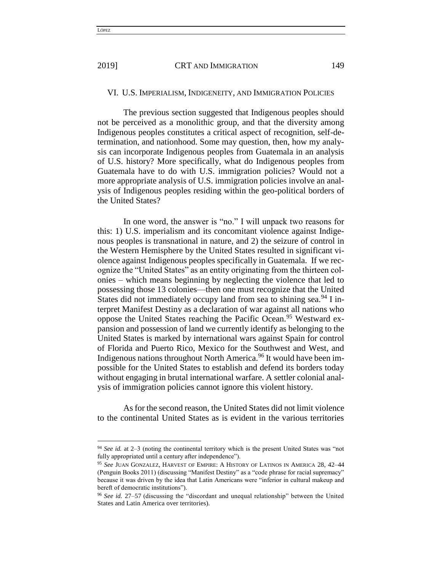$\overline{a}$ 

#### VI. U.S. IMPERIALISM, INDIGENEITY, AND IMMIGRATION POLICIES

The previous section suggested that Indigenous peoples should not be perceived as a monolithic group, and that the diversity among Indigenous peoples constitutes a critical aspect of recognition, self-determination, and nationhood. Some may question, then, how my analysis can incorporate Indigenous peoples from Guatemala in an analysis of U.S. history? More specifically, what do Indigenous peoples from Guatemala have to do with U.S. immigration policies? Would not a more appropriate analysis of U.S. immigration policies involve an analysis of Indigenous peoples residing within the geo-political borders of the United States?

In one word, the answer is "no." I will unpack two reasons for this: 1) U.S. imperialism and its concomitant violence against Indigenous peoples is transnational in nature, and 2) the seizure of control in the Western Hemisphere by the United States resulted in significant violence against Indigenous peoples specifically in Guatemala. If we recognize the "United States" as an entity originating from the thirteen colonies – which means beginning by neglecting the violence that led to possessing those 13 colonies—then one must recognize that the United States did not immediately occupy land from sea to shining sea.<sup>94</sup> I interpret Manifest Destiny as a declaration of war against all nations who oppose the United States reaching the Pacific Ocean.<sup>95</sup> Westward expansion and possession of land we currently identify as belonging to the United States is marked by international wars against Spain for control of Florida and Puerto Rico, Mexico for the Southwest and West, and Indigenous nations throughout North America.<sup>96</sup> It would have been impossible for the United States to establish and defend its borders today without engaging in brutal international warfare. A settler colonial analysis of immigration policies cannot ignore this violent history.

As for the second reason, the United States did not limit violence to the continental United States as is evident in the various territories

<sup>94</sup> *See id.* at 2–3 (noting the continental territory which is the present United States was "not fully appropriated until a century after independence").

<sup>95</sup> *See* JUAN GONZALEZ, HARVEST OF EMPIRE: A HISTORY OF LATINOS IN AMERICA 28, 42–44 (Penguin Books 2011) (discussing "Manifest Destiny" as a "code phrase for racial supremacy" because it was driven by the idea that Latin Americans were "inferior in cultural makeup and bereft of democratic institutions").

<sup>96</sup> *See id.* 27–57 (discussing the "discordant and unequal relationship" between the United States and Latin America over territories).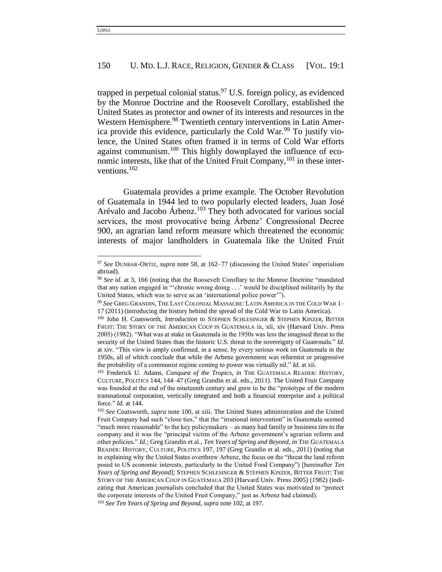trapped in perpetual colonial status.<sup>97</sup> U.S. foreign policy, as evidenced by the Monroe Doctrine and the Roosevelt Corollary, established the United States as protector and owner of its interests and resources in the Western Hemisphere.<sup>98</sup> Twentieth century interventions in Latin America provide this evidence, particularly the Cold War.<sup>99</sup> To justify violence, the United States often framed it in terms of Cold War efforts against communism.<sup>100</sup> This highly downplayed the influence of economic interests, like that of the United Fruit Company,  $101$  in these interventions.<sup>102</sup>

Guatemala provides a prime example. The October Revolution of Guatemala in 1944 led to two popularly elected leaders, Juan José Arévalo and Jacobo Árbenz.<sup>103</sup> They both advocated for various social services, the most provocative being Árbenz' Congressional Decree 900, an agrarian land reform measure which threatened the economic interests of major landholders in Guatemala like the United Fruit

<sup>97</sup> *See* DUNBAR-ORTIZ, *supra* note 58, at 162–77 (discussing the United States' imperialism abroad).

<sup>98</sup> *See id.* at 3, 166 (noting that the Roosevelt Corollary to the Monroe Doctrine "mandated that any nation engaged in "'chronic wrong doing . . .' would be disciplined militarily by the United States, which was to serve as an 'international police power'").

<sup>99</sup> *See* GREG GRANDIN, THE LAST COLONIAL MASSACRE: LATIN AMERICA IN THE COLD WAR 1– 17 (2011) (introducing the history behind the spread of the Cold War to Latin America).

<sup>100</sup> John H. Coatsworth, *Introduction* to STEPHEN SCHLESINGER & STEPHEN KINZER, BITTER FRUIT: THE STORY OF THE AMERICAN COUP IN GUATEMALA Ix, xii, xiv (Harvard Univ. Press 2005) (1982). "What was at stake in Guatemala in the 1950s was less the imagined threat to the security of the United States than the historic U.S. threat to the sovereignty of Guatemala." *Id.*  at xiv. "This view is amply confirmed, in a sense, by every serious work on Guatemala in the 1950s, all of which conclude that while the Arbenz government was reformist or progressive the probability of a communist regime coming to power was virtually nil." *Id.* at xii.

<sup>101</sup> Frederick U. Adams, *Conquest of the Tropics*, *in* THE GUATEMALA READER: HISTORY, CULTURE, POLITICS 144, 144–47 (Greg Grandin et al. eds., 2011). The United Fruit Company was founded at the end of the nineteenth century and grew to be the "prototype of the modern transnational corporation, vertically integrated and both a financial enterprise and a political force." *Id.* at 144.

<sup>102</sup> *See* Coatsworth, *supra* note 100, at xiii. The United States administration and the United Fruit Company had such "close ties," that the "irrational intervention" in Guatemala seemed "much more reasonable" to the key policymakers – as many had family or business ties to the company and it was the "principal victim of the Arbenz government's agrarian reform and other policies." *Id*.; Greg Grandin et al., *Ten Years of Spring and Beyond*, *in* THE GUATEMALA READER: HISTORY, CULTURE, POLITICS 197, 197 (Greg Grandin et al. eds., 2011) (noting that in explaining why the United States overthrew Arbenz, the focus on the "threat the land reform posed to US economic interests, particularly to the United Food Company") [hereinafter *Ten Years of Spring and Beyond*]; STEPHEN SCHLESINGER & STEPHEN KINZER, BITTER FRUIT: THE STORY OF THE AMERICAN COUP IN GUATEMALA 203 (Harvard Univ. Press 2005) (1982) (indicating that American journalists concluded that the United States was motivated to "protect the corporate interests of the United Fruit Company," just as Arbenz had claimed).

<sup>103</sup> *See Ten Years of Spring and Beyond*, *supra* note 102, at 197.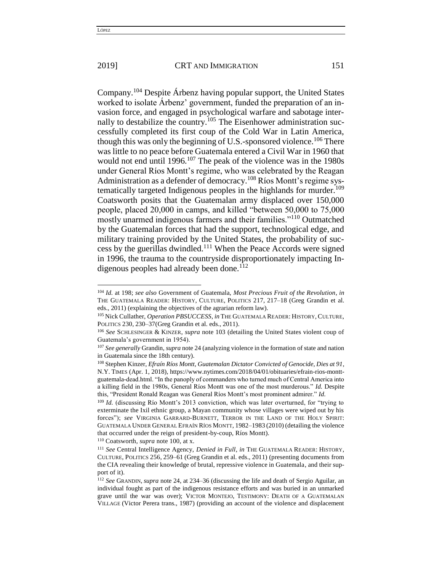$\overline{\phantom{a}}$ 

#### 2019] **CRT AND IMMIGRATION** 151

Company.<sup>104</sup> Despite Árbenz having popular support, the United States worked to isolate Árbenz' government, funded the preparation of an invasion force, and engaged in psychological warfare and sabotage internally to destabilize the country.<sup>105</sup> The Eisenhower administration successfully completed its first coup of the Cold War in Latin America, though this was only the beginning of U.S.-sponsored violence.<sup>106</sup> There was little to no peace before Guatemala entered a Civil War in 1960 that would not end until 1996.<sup>107</sup> The peak of the violence was in the 1980s under General Ríos Montt's regime, who was celebrated by the Reagan Administration as a defender of democracy.<sup>108</sup> Ríos Montt's regime systematically targeted Indigenous peoples in the highlands for murder.<sup>109</sup> Coatsworth posits that the Guatemalan army displaced over 150,000 people, placed 20,000 in camps, and killed "between 50,000 to 75,000 mostly unarmed indigenous farmers and their families."<sup>110</sup> Outmatched by the Guatemalan forces that had the support, technological edge, and military training provided by the United States, the probability of success by the guerillas dwindled.<sup>111</sup> When the Peace Accords were signed in 1996, the trauma to the countryside disproportionately impacting Indigenous peoples had already been done.<sup>112</sup>

<sup>110</sup> Coatsworth, *supra* note 100, at x.

<sup>104</sup> *Id.* at 198; *see also* Government of Guatemala, *Most Precious Fruit of the Revolution*, *in*  THE GUATEMALA READER: HISTORY, CULTURE, POLITICS 217, 217–18 (Greg Grandin et al. eds., 2011) (explaining the objectives of the agrarian reform law).

<sup>105</sup> Nick Cullather, *Operation PBSUCCESS*, *in* THE GUATEMALA READER: HISTORY, CULTURE, POLITICS 230, 230–37(Greg Grandin et al. eds., 2011).

<sup>106</sup> *See* SCHLESINGER & KINZER, *supra* note 103 (detailing the United States violent coup of Guatemala's government in 1954).

<sup>107</sup> *See generally* Grandin, *supra* note 24 (analyzing violence in the formation of state and nation in Guatemala since the 18th century).

<sup>108</sup> Stephen Kinzer, *Efraín Ríos Montt, Guatemalan Dictator Convicted of Genocide, Dies at 91*, N.Y. TIMES (Apr. 1, 2018), https://www.nytimes.com/2018/04/01/obituaries/efrain-rios-monttguatemala-dead.html. "In the panoply of commanders who turned much of Central America into a killing field in the 1980s, General Ríos Montt was one of the most murderous." *Id.* Despite this, "President Ronald Reagan was General Ríos Montt's most prominent admirer." *Id.*

<sup>&</sup>lt;sup>109</sup> *Id.* (discussing Río Montt's 2013 conviction, which was later overturned, for "trying to exterminate the Ixil ethnic group, a Mayan community whose villages were wiped out by his forces"); *see* VIRGINIA GARRARD-BURNETT, TERROR IN THE LAND OF THE HOLY SPIRIT: GUATEMALA UNDER GENERAL EFRAÍN RÍOS MONTT, 1982–1983 (2010) (detailing the violence that occurred under the reign of president-by-coup, Ríos Montt).

<sup>111</sup> *See* Central Intelligence Agency, *Denied in Full*, *in* THE GUATEMALA READER: HISTORY, CULTURE, POLITICS 256, 259–61 (Greg Grandin et al. eds., 2011) (presenting documents from the CIA revealing their knowledge of brutal, repressive violence in Guatemala, and their support of it).

<sup>112</sup> *See* GRANDIN, *supra* note 24, at 234–36 (discussing the life and death of Sergio Aguilar, an individual fought as part of the indigenous resistance efforts and was buried in an unmarked grave until the war was over); VICTOR MONTEJO, TESTIMONY: DEATH OF A GUATEMALAN VILLAGE (Victor Perera trans., 1987) (providing an account of the violence and displacement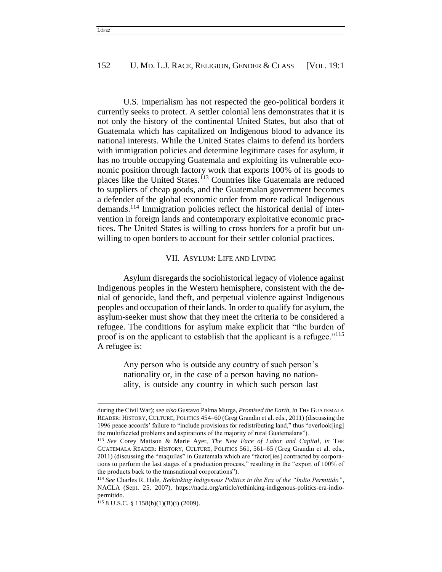U.S. imperialism has not respected the geo-political borders it currently seeks to protect. A settler colonial lens demonstrates that it is not only the history of the continental United States, but also that of Guatemala which has capitalized on Indigenous blood to advance its national interests. While the United States claims to defend its borders with immigration policies and determine legitimate cases for asylum, it has no trouble occupying Guatemala and exploiting its vulnerable economic position through factory work that exports 100% of its goods to places like the United States.<sup>113</sup> Countries like Guatemala are reduced to suppliers of cheap goods, and the Guatemalan government becomes a defender of the global economic order from more radical Indigenous demands.<sup>114</sup> Immigration policies reflect the historical denial of intervention in foreign lands and contemporary exploitative economic practices. The United States is willing to cross borders for a profit but unwilling to open borders to account for their settler colonial practices.

# VII. ASYLUM: LIFE AND LIVING

Asylum disregards the sociohistorical legacy of violence against Indigenous peoples in the Western hemisphere, consistent with the denial of genocide, land theft, and perpetual violence against Indigenous peoples and occupation of their lands. In order to qualify for asylum, the asylum-seeker must show that they meet the criteria to be considered a refugee. The conditions for asylum make explicit that "the burden of proof is on the applicant to establish that the applicant is a refugee."<sup>115</sup> A refugee is:

> Any person who is outside any country of such person's nationality or, in the case of a person having no nationality, is outside any country in which such person last

during the Civil War); *see also* Gustavo Palma Murga, *Promised the Earth*, *in* THE GUATEMALA READER: HISTORY, CULTURE, POLITICS 454–60 (Greg Grandin et al. eds., 2011) (discussing the 1996 peace accords' failure to "include provisions for redistributing land," thus "overlook[ing] the multifaceted problems and aspirations of the majority of rural Guatemalans").

<sup>113</sup> *See* Corey Mattson & Marie Ayer, *The New Face of Labor and Capital*, *in* THE GUATEMALA READER: HISTORY, CULTURE, POLITICS 561, 561–65 (Greg Grandin et al. eds., 2011) (discussing the "maquilas" in Guatemala which are "factor[ies] contracted by corporations to perform the last stages of a production process," resulting in the "export of 100% of the products back to the transnational corporations").

<sup>114</sup> *See* Charles R. Hale, *Rethinking Indigenous Politics in the Era of the "Indio Permitido"*, NACLA (Sept. 25, 2007), https://nacla.org/article/rethinking-indigenous-politics-era-indiopermitido.

 $115$  8 U.S.C. § 1158(b)(1)(B)(i) (2009).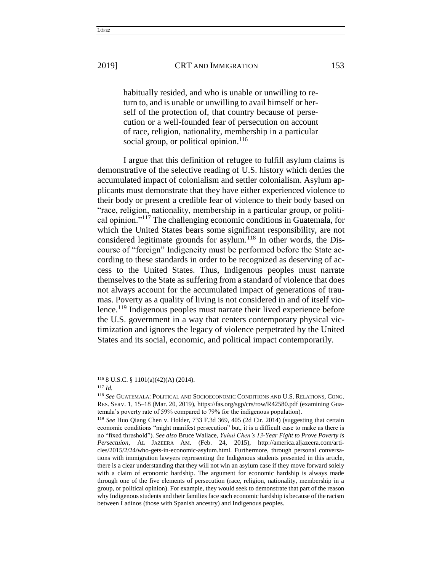habitually resided, and who is unable or unwilling to return to, and is unable or unwilling to avail himself or herself of the protection of, that country because of persecution or a well-founded fear of persecution on account of race, religion, nationality, membership in a particular social group, or political opinion.<sup>116</sup>

I argue that this definition of refugee to fulfill asylum claims is demonstrative of the selective reading of U.S. history which denies the accumulated impact of colonialism and settler colonialism. Asylum applicants must demonstrate that they have either experienced violence to their body or present a credible fear of violence to their body based on "race, religion, nationality, membership in a particular group, or political opinion."<sup>117</sup> The challenging economic conditions in Guatemala, for which the United States bears some significant responsibility, are not considered legitimate grounds for asylum.<sup>118</sup> In other words, the Discourse of "foreign" Indigeneity must be performed before the State according to these standards in order to be recognized as deserving of access to the United States. Thus, Indigenous peoples must narrate themselves to the State as suffering from a standard of violence that does not always account for the accumulated impact of generations of traumas. Poverty as a quality of living is not considered in and of itself violence.<sup>119</sup> Indigenous peoples must narrate their lived experience before the U.S. government in a way that centers contemporary physical victimization and ignores the legacy of violence perpetrated by the United States and its social, economic, and political impact contemporarily.

<sup>116</sup> 8 U.S.C. § 1101(a)(42)(A) (2014).

<sup>117</sup> *Id.*

<sup>118</sup> *See* GUATEMALA: POLITICAL AND SOCIOECONOMIC CONDITIONS AND U.S. RELATIONS, CONG. RES. SERV. 1, 15–18 (Mar. 20, 2019), https://fas.org/sgp/crs/row/R42580.pdf (examining Guatemala's poverty rate of 59% compared to 79% for the indigenous population).

<sup>119</sup> *See* Huo Qiang Chen v. Holder, 733 F.3d 369, 405 (2d Cir. 2014) (suggesting that certain economic conditions "might manifest persecution" but, it is a difficult case to make as there is no "fixed threshold"). *See also* Bruce Wallace, *Yuhui Chen's 13-Year Fight to Prove Poverty is Persectuion*, AL JAZEERA AM. (Feb. 24, 2015), http://america.aljazeera.com/articles/2015/2/24/who-gets-in-economic-asylum.html. Furthermore, through personal conversations with immigration lawyers representing the Indigenous students presented in this article, there is a clear understanding that they will not win an asylum case if they move forward solely with a claim of economic hardship. The argument for economic hardship is always made through one of the five elements of persecution (race, religion, nationality, membership in a group, or political opinion). For example, they would seek to demonstrate that part of the reason why Indigenous students and their families face such economic hardship is because of the racism between Ladinos (those with Spanish ancestry) and Indigenous peoples.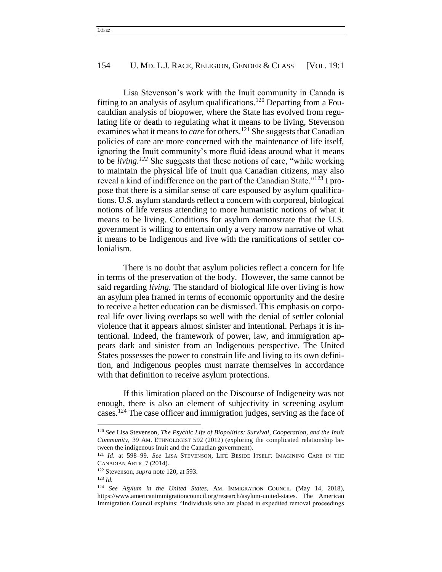Lisa Stevenson's work with the Inuit community in Canada is fitting to an analysis of asylum qualifications.<sup>120</sup> Departing from a Foucauldian analysis of biopower, where the State has evolved from regulating life or death to regulating what it means to be living, Stevenson examines what it means to *care* for others.<sup>121</sup> She suggests that Canadian policies of care are more concerned with the maintenance of life itself, ignoring the Inuit community's more fluid ideas around what it means to be *living.<sup>122</sup>* She suggests that these notions of care, "while working to maintain the physical life of Inuit qua Canadian citizens, may also reveal a kind of indifference on the part of the Canadian State."<sup>123</sup> I propose that there is a similar sense of care espoused by asylum qualifications. U.S. asylum standards reflect a concern with corporeal, biological notions of life versus attending to more humanistic notions of what it means to be living. Conditions for asylum demonstrate that the U.S. government is willing to entertain only a very narrow narrative of what it means to be Indigenous and live with the ramifications of settler colonialism.

There is no doubt that asylum policies reflect a concern for life in terms of the preservation of the body. However, the same cannot be said regarding *living.* The standard of biological life over living is how an asylum plea framed in terms of economic opportunity and the desire to receive a better education can be dismissed. This emphasis on corporeal life over living overlaps so well with the denial of settler colonial violence that it appears almost sinister and intentional. Perhaps it is intentional. Indeed, the framework of power, law, and immigration appears dark and sinister from an Indigenous perspective. The United States possesses the power to constrain life and living to its own definition, and Indigenous peoples must narrate themselves in accordance with that definition to receive asylum protections.

If this limitation placed on the Discourse of Indigeneity was not enough, there is also an element of subjectivity in screening asylum cases.<sup>124</sup> The case officer and immigration judges, serving as the face of

<sup>120</sup> *See* Lisa Stevenson, *The Psychic Life of Biopolitics: Survival, Cooperation, and the Inuit Community*, 39 AM. ETHNOLOGIST 592 (2012) (exploring the complicated relationship between the indigenous Inuit and the Canadian government).

<sup>121</sup> *Id.* at 598–99. *See* LISA STEVENSON, LIFE BESIDE ITSELF: IMAGINING CARE IN THE CANADIAN ARTIC 7 (2014).

<sup>122</sup> Stevenson, *supra* note 120, at 593.

<sup>123</sup> *Id.* 

<sup>124</sup> *See Asylum in the United States*, AM. IMMIGRATION COUNCIL (May 14, 2018), https://www.americanimmigrationcouncil.org/research/asylum-united-states. The American Immigration Council explains: "Individuals who are placed in expedited removal proceedings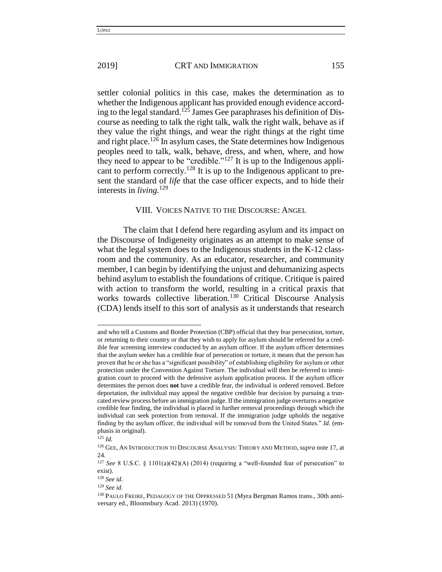settler colonial politics in this case, makes the determination as to whether the Indigenous applicant has provided enough evidence according to the legal standard.<sup>125</sup> James Gee paraphrases his definition of Discourse as needing to talk the right talk, walk the right walk, behave as if they value the right things, and wear the right things at the right time and right place.<sup>126</sup> In asylum cases, the State determines how Indigenous peoples need to talk, walk, behave, dress, and when, where, and how they need to appear to be "credible."<sup>127</sup> It is up to the Indigenous applicant to perform correctly.<sup>128</sup> It is up to the Indigenous applicant to present the standard of *life* that the case officer expects, and to hide their interests in *living.*<sup>129</sup>

### VIII. VOICES NATIVE TO THE DISCOURSE: ANGEL

The claim that I defend here regarding asylum and its impact on the Discourse of Indigeneity originates as an attempt to make sense of what the legal system does to the Indigenous students in the K-12 classroom and the community. As an educator, researcher, and community member, I can begin by identifying the unjust and dehumanizing aspects behind asylum to establish the foundations of critique. Critique is paired with action to transform the world, resulting in a critical praxis that works towards collective liberation.<sup>130</sup> Critical Discourse Analysis (CDA) lends itself to this sort of analysis as it understands that research

and who tell a Customs and Border Protection (CBP) official that they fear persecution, torture, or returning to their country or that they wish to apply for asylum should be referred for a credible fear screening interview conducted by an asylum officer. If the asylum officer determines that the asylum seeker has a credible fear of persecution or torture, it means that the person has proven that he or she has a "significant possibility" of establishing eligibility for asylum or other protection under the Convention Against Torture. The individual will then be referred to immigration court to proceed with the defensive asylum application process. If the asylum officer determines the person does **not** have a credible fear, the individual is ordered removed. Before deportation, the individual may appeal the negative credible fear decision by pursuing a truncated review process before an immigration judge. If the immigration judge overturns a negative credible fear finding, the individual is placed in further removal proceedings through which the individual can seek protection from removal. If the immigration judge upholds the negative finding by the asylum officer, the individual will be removed from the United States." *Id.* (emphasis in original).

 $125$  *Id.* 

<sup>126</sup> GEE, AN INTRODUCTION TO DISCOURSE ANALYSIS: THEORY AND METHOD, *supra* note 17, at 24.

<sup>&</sup>lt;sup>127</sup> See 8 U.S.C. § 1101(a)(42)(A) (2014) (requiring a "well-founded fear of persecution" to exist).

<sup>128</sup> *See id.*

<sup>129</sup> *See id.*

<sup>130</sup> PAULO FREIRE, PEDAGOGY OF THE OPPRESSED 51 (Myra Bergman Ramos trans., 30th anniversary ed., Bloomsbury Acad. 2013) (1970).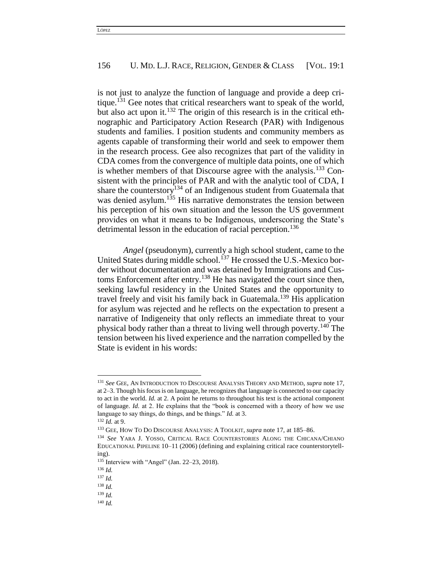is not just to analyze the function of language and provide a deep critique.<sup>131</sup> Gee notes that critical researchers want to speak of the world, but also act upon it.<sup>132</sup> The origin of this research is in the critical ethnographic and Participatory Action Research (PAR) with Indigenous students and families. I position students and community members as agents capable of transforming their world and seek to empower them in the research process. Gee also recognizes that part of the validity in CDA comes from the convergence of multiple data points, one of which is whether members of that Discourse agree with the analysis.<sup>133</sup> Consistent with the principles of PAR and with the analytic tool of CDA, I share the counterstory<sup>134</sup> of an Indigenous student from Guatemala that was denied asylum.<sup>135</sup> His narrative demonstrates the tension between his perception of his own situation and the lesson the US government provides on what it means to be Indigenous, underscoring the State's detrimental lesson in the education of racial perception.<sup>136</sup>

*Angel* (pseudonym), currently a high school student, came to the United States during middle school.<sup>137</sup> He crossed the U.S.-Mexico border without documentation and was detained by Immigrations and Customs Enforcement after entry.<sup>138</sup> He has navigated the court since then, seeking lawful residency in the United States and the opportunity to travel freely and visit his family back in Guatemala.<sup>139</sup> His application for asylum was rejected and he reflects on the expectation to present a narrative of Indigeneity that only reflects an immediate threat to your physical body rather than a threat to living well through poverty.<sup>140</sup> The tension between his lived experience and the narration compelled by the State is evident in his words:

<sup>131</sup> *See* GEE, AN INTRODUCTION TO DISCOURSE ANALYSIS THEORY AND METHOD, *supra* note 17, at 2–3. Though his focus is on language, he recognizes that language is connected to our capacity to act in the world. *Id.* at 2. A point he returns to throughout his text is the actional component of language. *Id.* at 2. He explains that the "book is concerned with a theory of how we use language to say things, do things, and be things." *Id.* at 3.

<sup>132</sup> *Id.* at 9.

<sup>133</sup> GEE, HOW TO DO DISCOURSE ANALYSIS: A TOOLKIT, *supra* note 17, at 185–86.

<sup>134</sup> *See* YARA J. YOSSO, CRITICAL RACE COUNTERSTORIES ALONG THE CHICANA/CHIANO EDUCATIONAL PIPELINE 10–11 (2006) (defining and explaining critical race counterstorytelling).

<sup>135</sup> Interview with "Angel" (Jan. 22–23, 2018).

<sup>136</sup> *Id.*

<sup>137</sup> *Id.*

<sup>138</sup> *Id.*

<sup>139</sup> *Id.*

<sup>140</sup> *Id.*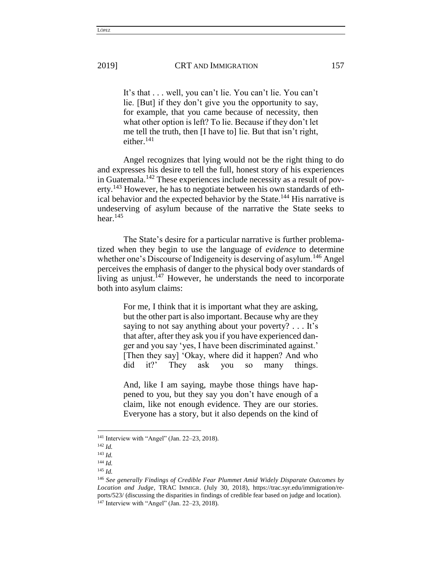It's that . . . well, you can't lie. You can't lie. You can't lie. [But] if they don't give you the opportunity to say, for example, that you came because of necessity, then what other option is left? To lie. Because if they don't let me tell the truth, then [I have to] lie. But that isn't right, either. $141$ 

Angel recognizes that lying would not be the right thing to do and expresses his desire to tell the full, honest story of his experiences in Guatemala.<sup>142</sup> These experiences include necessity as a result of poverty.<sup>143</sup> However, he has to negotiate between his own standards of ethical behavior and the expected behavior by the State.<sup>144</sup> His narrative is undeserving of asylum because of the narrative the State seeks to hear. $145$ 

The State's desire for a particular narrative is further problematized when they begin to use the language of *evidence* to determine whether one's Discourse of Indigeneity is deserving of asylum.<sup>146</sup> Angel perceives the emphasis of danger to the physical body over standards of living as unjust.<sup>147</sup> However, he understands the need to incorporate both into asylum claims:

> For me, I think that it is important what they are asking, but the other part is also important. Because why are they saying to not say anything about your poverty? . . . It's that after, after they ask you if you have experienced danger and you say 'yes, I have been discriminated against.' [Then they say] 'Okay, where did it happen? And who did it?' They ask you so many things.

> And, like I am saying, maybe those things have happened to you, but they say you don't have enough of a claim, like not enough evidence. They are our stories. Everyone has a story, but it also depends on the kind of

<sup>141</sup> Interview with "Angel" (Jan. 22–23, 2018).

<sup>142</sup> *Id.*

<sup>143</sup> *Id.*

<sup>144</sup> *Id.*

<sup>145</sup> *Id.*

<sup>146</sup> *See generally Findings of Credible Fear Plummet Amid Widely Disparate Outcomes by Location and Judge*, TRAC IMMIGR. (July 30, 2018), https://trac.syr.edu/immigration/reports/523/ (discussing the disparities in findings of credible fear based on judge and location). <sup>147</sup> Interview with "Angel" (Jan. 22–23, 2018).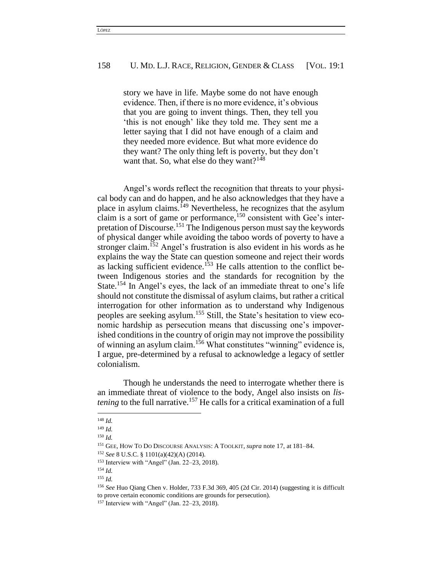story we have in life. Maybe some do not have enough evidence. Then, if there is no more evidence, it's obvious that you are going to invent things. Then, they tell you 'this is not enough' like they told me. They sent me a letter saying that I did not have enough of a claim and they needed more evidence. But what more evidence do they want? The only thing left is poverty, but they don't want that. So, what else do they want?<sup>148</sup>

Angel's words reflect the recognition that threats to your physical body can and do happen, and he also acknowledges that they have a place in asylum claims.<sup>149</sup> Nevertheless, he recognizes that the asylum claim is a sort of game or performance,  $150$  consistent with Gee's interpretation of Discourse.<sup>151</sup> The Indigenous person must say the keywords of physical danger while avoiding the taboo words of poverty to have a stronger claim.<sup>152</sup> Angel's frustration is also evident in his words as he explains the way the State can question someone and reject their words as lacking sufficient evidence.<sup>153</sup> He calls attention to the conflict between Indigenous stories and the standards for recognition by the State.<sup>154</sup> In Angel's eyes, the lack of an immediate threat to one's life should not constitute the dismissal of asylum claims, but rather a critical interrogation for other information as to understand why Indigenous peoples are seeking asylum.<sup>155</sup> Still, the State's hesitation to view economic hardship as persecution means that discussing one's impoverished conditions in the country of origin may not improve the possibility of winning an asylum claim.<sup>156</sup> What constitutes "winning" evidence is, I argue, pre-determined by a refusal to acknowledge a legacy of settler colonialism.

Though he understands the need to interrogate whether there is an immediate threat of violence to the body, Angel also insists on *listening* to the full narrative.<sup>157</sup> He calls for a critical examination of a full

<sup>148</sup> *Id.*

<sup>149</sup> *Id.*

<sup>150</sup> *Id.*

<sup>151</sup> GEE, HOW TO DO DISCOURSE ANALYSIS: A TOOLKIT, *supra* note 17, at 181–84.

<sup>152</sup> *See* 8 U.S.C. § 1101(a)(42)(A) (2014).

<sup>153</sup> Interview with "Angel" (Jan. 22–23, 2018).

<sup>154</sup> *Id.*

<sup>155</sup> *Id.*

<sup>156</sup> *See* Huo Qiang Chen v. Holder, 733 F.3d 369, 405 (2d Cir. 2014) (suggesting it is difficult to prove certain economic conditions are grounds for persecution).

<sup>157</sup> Interview with "Angel" (Jan. 22–23, 2018).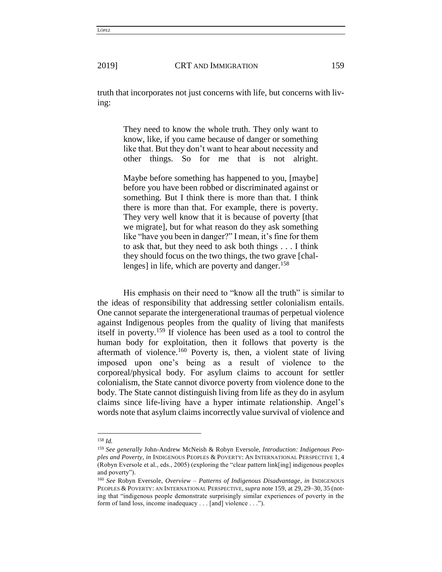truth that incorporates not just concerns with life, but concerns with living:

> They need to know the whole truth. They only want to know, like, if you came because of danger or something like that. But they don't want to hear about necessity and other things. So for me that is not alright.

> Maybe before something has happened to you, [maybe] before you have been robbed or discriminated against or something. But I think there is more than that. I think there is more than that. For example, there is poverty. They very well know that it is because of poverty [that we migrate], but for what reason do they ask something like "have you been in danger?" I mean, it's fine for them to ask that, but they need to ask both things . . . I think they should focus on the two things, the two grave [challenges] in life, which are poverty and danger.<sup>158</sup>

His emphasis on their need to "know all the truth" is similar to the ideas of responsibility that addressing settler colonialism entails. One cannot separate the intergenerational traumas of perpetual violence against Indigenous peoples from the quality of living that manifests itself in poverty.<sup>159</sup> If violence has been used as a tool to control the human body for exploitation, then it follows that poverty is the aftermath of violence.<sup>160</sup> Poverty is, then, a violent state of living imposed upon one's being as a result of violence to the corporeal/physical body. For asylum claims to account for settler colonialism, the State cannot divorce poverty from violence done to the body. The State cannot distinguish living from life as they do in asylum claims since life-living have a hyper intimate relationship. Angel's words note that asylum claims incorrectly value survival of violence and

<sup>158</sup> *Id.*

<sup>159</sup> *See generally* John-Andrew McNeish & Robyn Eversole, *Introduction: Indigenous Peoples and Poverty*, *in* INDIGENOUS PEOPLES & POVERTY: AN INTERNATIONAL PERSPECTIVE 1, 4 (Robyn Eversole et al., eds., 2005) (exploring the "clear pattern link[ing] indigenous peoples and poverty").

<sup>160</sup> *See* Robyn Eversole, *Overview – Patterns of Indigenous Disadvantage*, *in* INDIGENOUS PEOPLES & POVERTY: AN INTERNATIONAL PERSPECTIVE, *supra* note 159, at 29, 29–30, 35 (noting that "indigenous people demonstrate surprisingly similar experiences of poverty in the form of land loss, income inadequacy . . . [and] violence . . .").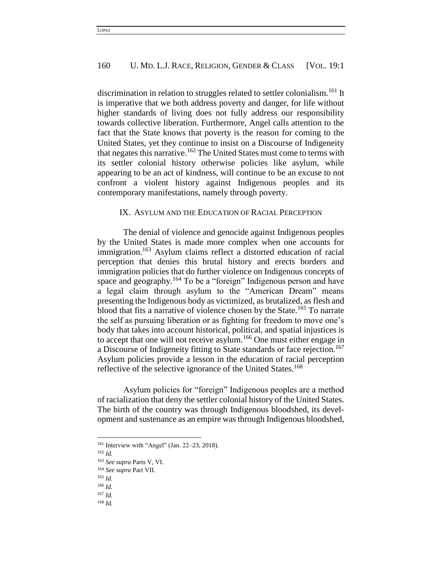discrimination in relation to struggles related to settler colonialism.<sup>161</sup> It is imperative that we both address poverty and danger, for life without higher standards of living does not fully address our responsibility towards collective liberation. Furthermore, Angel calls attention to the fact that the State knows that poverty is the reason for coming to the United States, yet they continue to insist on a Discourse of Indigeneity that negates this narrative.<sup>162</sup> The United States must come to terms with its settler colonial history otherwise policies like asylum, while appearing to be an act of kindness, will continue to be an excuse to not confront a violent history against Indigenous peoples and its contemporary manifestations, namely through poverty.

#### IX. ASYLUM AND THE EDUCATION OF RACIAL PERCEPTION

The denial of violence and genocide against Indigenous peoples by the United States is made more complex when one accounts for immigration.<sup>163</sup> Asylum claims reflect a distorted education of racial perception that denies this brutal history and erects borders and immigration policies that do further violence on Indigenous concepts of space and geography.<sup>164</sup> To be a "foreign" Indigenous person and have a legal claim through asylum to the "American Dream" means presenting the Indigenous body as victimized, as brutalized, as flesh and blood that fits a narrative of violence chosen by the State.<sup>165</sup> To narrate the self as pursuing liberation or as fighting for freedom to move one's body that takes into account historical, political, and spatial injustices is to accept that one will not receive asylum.<sup>166</sup> One must either engage in a Discourse of Indigeneity fitting to State standards or face rejection.<sup>167</sup> Asylum policies provide a lesson in the education of racial perception reflective of the selective ignorance of the United States.<sup>168</sup>

Asylum policies for "foreign" Indigenous peoples are a method of racialization that deny the settler colonial history of the United States. The birth of the country was through Indigenous bloodshed, its development and sustenance as an empire was through Indigenous bloodshed,

<sup>161</sup> Interview with "Angel" (Jan. 22–23, 2018).

<sup>162</sup> *Id.*

<sup>163</sup> *See supra* Parts V, VI.

<sup>164</sup> *See supra* Part VII.

<sup>165</sup> *Id.*

<sup>166</sup> *Id.*

<sup>167</sup> *Id.*

<sup>168</sup> *Id.*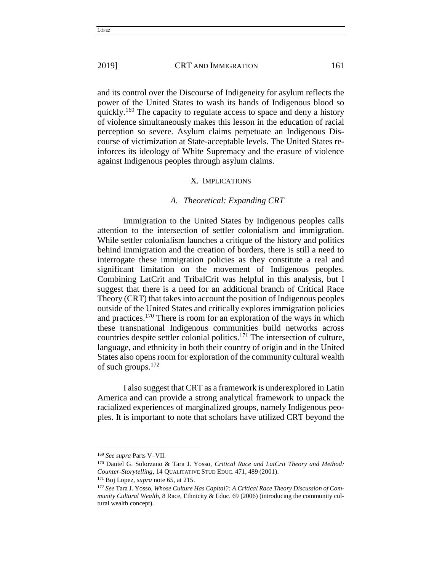and its control over the Discourse of Indigeneity for asylum reflects the power of the United States to wash its hands of Indigenous blood so quickly.<sup>169</sup> The capacity to regulate access to space and deny a history of violence simultaneously makes this lesson in the education of racial perception so severe. Asylum claims perpetuate an Indigenous Discourse of victimization at State-acceptable levels. The United States reinforces its ideology of White Supremacy and the erasure of violence against Indigenous peoples through asylum claims.

#### X. IMPLICATIONS

#### *A. Theoretical: Expanding CRT*

Immigration to the United States by Indigenous peoples calls attention to the intersection of settler colonialism and immigration. While settler colonialism launches a critique of the history and politics behind immigration and the creation of borders, there is still a need to interrogate these immigration policies as they constitute a real and significant limitation on the movement of Indigenous peoples. Combining LatCrit and TribalCrit was helpful in this analysis, but I suggest that there is a need for an additional branch of Critical Race Theory (CRT) that takes into account the position of Indigenous peoples outside of the United States and critically explores immigration policies and practices.<sup>170</sup> There is room for an exploration of the ways in which these transnational Indigenous communities build networks across countries despite settler colonial politics.<sup>171</sup> The intersection of culture, language, and ethnicity in both their country of origin and in the United States also opens room for exploration of the community cultural wealth of such groups. $172$ 

I also suggest that CRT as a framework is underexplored in Latin America and can provide a strong analytical framework to unpack the racialized experiences of marginalized groups, namely Indigenous peoples. It is important to note that scholars have utilized CRT beyond the

<sup>169</sup> *See supra* Parts V–VII.

<sup>170</sup> Daniel G. Solorzano & Tara J. Yosso, *Critical Race and LatCrit Theory and Method: Counter-Storytelling*, 14 QUALITATIVE STUD EDUC. 471, 489 (2001).

<sup>171</sup> Boj Lopez, *supra* note 65, at 215.

<sup>172</sup> *See* Tara J. Yosso, *Whose Culture Has Capital?: A Critical Race Theory Discussion of Community Cultural Wealth*, 8 Race, Ethnicity & Educ. 69 (2006) (introducing the community cultural wealth concept).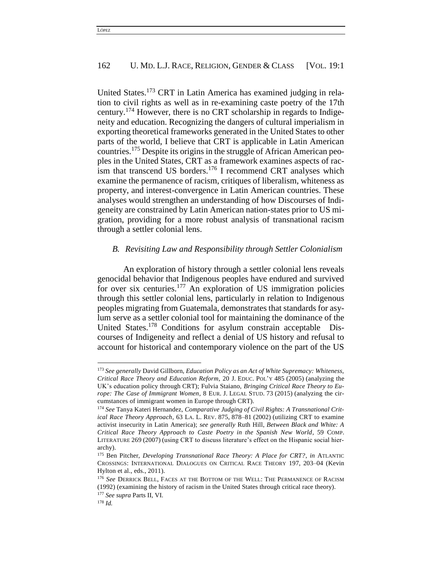United States.<sup>173</sup> CRT in Latin America has examined judging in relation to civil rights as well as in re-examining caste poetry of the 17th century.<sup>174</sup> However, there is no CRT scholarship in regards to Indigeneity and education. Recognizing the dangers of cultural imperialism in exporting theoretical frameworks generated in the United States to other parts of the world, I believe that CRT is applicable in Latin American countries.<sup>175</sup> Despite its origins in the struggle of African American peoples in the United States, CRT as a framework examines aspects of racism that transcend US borders.<sup>176</sup> I recommend CRT analyses which examine the permanence of racism, critiques of liberalism, whiteness as property, and interest-convergence in Latin American countries. These analyses would strengthen an understanding of how Discourses of Indigeneity are constrained by Latin American nation-states prior to US migration, providing for a more robust analysis of transnational racism through a settler colonial lens.

#### *B. Revisiting Law and Responsibility through Settler Colonialism*

An exploration of history through a settler colonial lens reveals genocidal behavior that Indigenous peoples have endured and survived for over six centuries.<sup>177</sup> An exploration of US immigration policies through this settler colonial lens, particularly in relation to Indigenous peoples migrating from Guatemala, demonstrates that standards for asylum serve as a settler colonial tool for maintaining the dominance of the United States.<sup>178</sup> Conditions for asylum constrain acceptable Discourses of Indigeneity and reflect a denial of US history and refusal to account for historical and contemporary violence on the part of the US

 $\overline{a}$ 

<sup>173</sup> *See generally* David Gillborn, *Education Policy as an Act of White Supremacy: Whiteness, Critical Race Theory and Education Reform*, 20 J. EDUC. POL'Y 485 (2005) (analyzing the UK's education policy through CRT); Fulvia Staiano, *Bringing Critical Race Theory to Europe: The Case of Immigrant Women*, 8 EUR. J. LEGAL STUD. 73 (2015) (analyzing the circumstances of immigrant women in Europe through CRT).

<sup>174</sup> *See* Tanya Kateri Hernandez, *Comparative Judging of Civil Rights: A Transnational Critical Race Theory Approach*, 63 LA. L. REV. 875, 878–81 (2002) (utilizing CRT to examine activist insecurity in Latin America); *see generally* Ruth Hill, *Between Black and White: A Critical Race Theory Approach to Caste Poetry in the Spanish New World*, 59 COMP. LITERATURE 269 (2007) (using CRT to discuss literature's effect on the Hispanic social hierarchy).

<sup>175</sup> Ben Pitcher, *Developing Transnational Race Theory: A Place for CRT?*, *in* ATLANTIC CROSSINGS: INTERNATIONAL DIALOGUES ON CRITICAL RACE THEORY 197, 203–04 (Kevin Hylton et al., eds., 2011).

<sup>176</sup> *See* DERRICK BELL, FACES AT THE BOTTOM OF THE WELL: THE PERMANENCE OF RACISM (1992) (examining the history of racism in the United States through critical race theory). <sup>177</sup> *See supra* Parts II, VI.

<sup>178</sup> *Id.*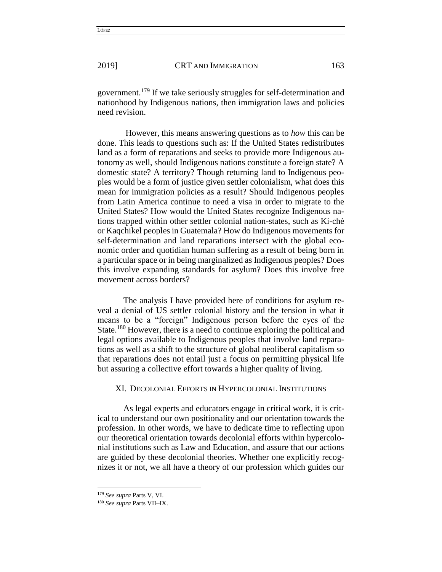government.<sup>179</sup> If we take seriously struggles for self-determination and nationhood by Indigenous nations, then immigration laws and policies need revision.

However, this means answering questions as to *how* this can be done. This leads to questions such as: If the United States redistributes land as a form of reparations and seeks to provide more Indigenous autonomy as well, should Indigenous nations constitute a foreign state? A domestic state? A territory? Though returning land to Indigenous peoples would be a form of justice given settler colonialism, what does this mean for immigration policies as a result? Should Indigenous peoples from Latin America continue to need a visa in order to migrate to the United States? How would the United States recognize Indigenous nations trapped within other settler colonial nation-states, such as Kí-chè or Kaqchikel peoples in Guatemala? How do Indigenous movements for self-determination and land reparations intersect with the global economic order and quotidian human suffering as a result of being born in a particular space or in being marginalized as Indigenous peoples? Does this involve expanding standards for asylum? Does this involve free movement across borders?

The analysis I have provided here of conditions for asylum reveal a denial of US settler colonial history and the tension in what it means to be a "foreign" Indigenous person before the eyes of the State.<sup>180</sup> However, there is a need to continue exploring the political and legal options available to Indigenous peoples that involve land reparations as well as a shift to the structure of global neoliberal capitalism so that reparations does not entail just a focus on permitting physical life but assuring a collective effort towards a higher quality of living.

# XI. DECOLONIAL EFFORTS IN HYPERCOLONIAL INSTITUTIONS

As legal experts and educators engage in critical work, it is critical to understand our own positionality and our orientation towards the profession. In other words, we have to dedicate time to reflecting upon our theoretical orientation towards decolonial efforts within hypercolonial institutions such as Law and Education, and assure that our actions are guided by these decolonial theories. Whether one explicitly recognizes it or not, we all have a theory of our profession which guides our

<sup>179</sup> *See supra* Parts V, VI.

<sup>180</sup> *See supra* Parts VII–IX.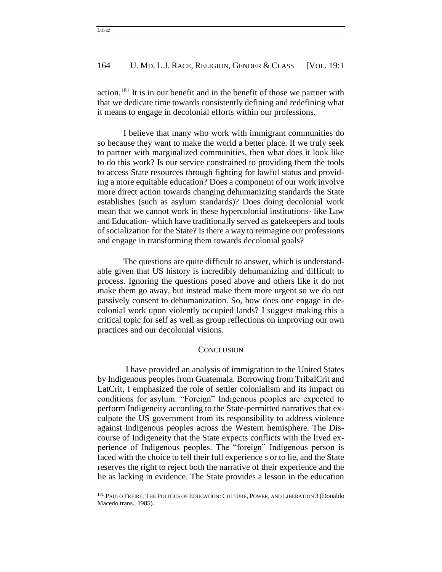action.<sup>181</sup> It is in our benefit and in the benefit of those we partner with that we dedicate time towards consistently defining and redefining what it means to engage in decolonial efforts within our professions.

I believe that many who work with immigrant communities do so because they want to make the world a better place. If we truly seek to partner with marginalized communities, then what does it look like to do this work? Is our service constrained to providing them the tools to access State resources through fighting for lawful status and providing a more equitable education? Does a component of our work involve more direct action towards changing dehumanizing standards the State establishes (such as asylum standards)? Does doing decolonial work mean that we cannot work in these hypercolonial institutions- like Law and Education- which have traditionally served as gatekeepers and tools of socialization for the State? Is there a way to reimagine our professions and engage in transforming them towards decolonial goals?

The questions are quite difficult to answer, which is understandable given that US history is incredibly dehumanizing and difficult to process. Ignoring the questions posed above and others like it do not make them go away, but instead make them more urgent so we do not passively consent to dehumanization. So, how does one engage in decolonial work upon violently occupied lands? I suggest making this a critical topic for self as well as group reflections on improving our own practices and our decolonial visions.

#### **CONCLUSION**

I have provided an analysis of immigration to the United States by Indigenous peoples from Guatemala. Borrowing from TribalCrit and LatCrit, I emphasized the role of settler colonialism and its impact on conditions for asylum. "Foreign" Indigenous peoples are expected to perform Indigeneity according to the State-permitted narratives that exculpate the US government from its responsibility to address violence against Indigenous peoples across the Western hemisphere. The Discourse of Indigeneity that the State expects conflicts with the lived experience of Indigenous peoples. The "foreign" Indigenous person is faced with the choice to tell their full experience s or to lie, and the State reserves the right to reject both the narrative of their experience and the lie as lacking in evidence. The State provides a lesson in the education

 $\overline{a}$ 

<sup>&</sup>lt;sup>181</sup> PAULO FREIRE, THE POLITICS OF EDUCATION: CULTURE, POWER, AND LIBERATION 3 (Donaldo Macedo trans., 1985).